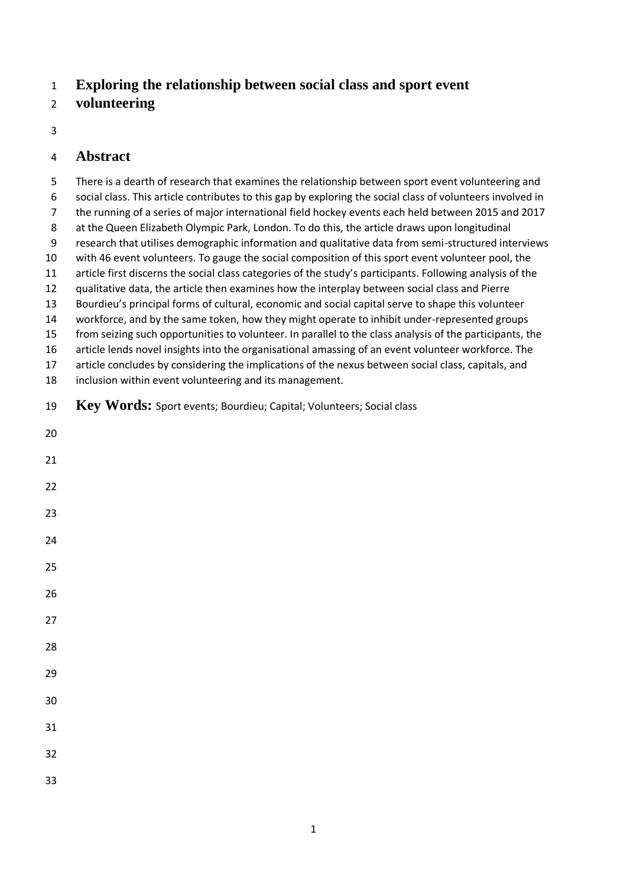# **Exploring the relationship between social class and sport event**

# **volunteering**

# **Abstract**

 There is a dearth of research that examines the relationship between sport event volunteering and social class. This article contributes to this gap by exploring the social class of volunteers involved in the running of a series of major international field hockey events each held between 2015 and 2017 at the Queen Elizabeth Olympic Park, London. To do this, the article draws upon longitudinal research that utilises demographic information and qualitative data from semi-structured interviews with 46 event volunteers. To gauge the social composition of this sport event volunteer pool, the article first discerns the social class categories of the study's participants. Following analysis of the qualitative data, the article then examines how the interplay between social class and Pierre Bourdieu's principal forms of cultural, economic and social capital serve to shape this volunteer workforce, and by the same token, how they might operate to inhibit under-represented groups from seizing such opportunities to volunteer. In parallel to the class analysis of the participants, the article lends novel insights into the organisational amassing of an event volunteer workforce. The article concludes by considering the implications of the nexus between social class, capitals, and inclusion within event volunteering and its management. **Key Words:** Sport events; Bourdieu; Capital; Volunteers; Social class

| 20              |  |  |  |
|-----------------|--|--|--|
| $\overline{21}$ |  |  |  |
| $\overline{22}$ |  |  |  |
| 23              |  |  |  |
| 24              |  |  |  |
| 25              |  |  |  |
| 26              |  |  |  |
| 27              |  |  |  |
| 28              |  |  |  |
| 29              |  |  |  |
| 30              |  |  |  |
| 31              |  |  |  |
| 32              |  |  |  |
| 33              |  |  |  |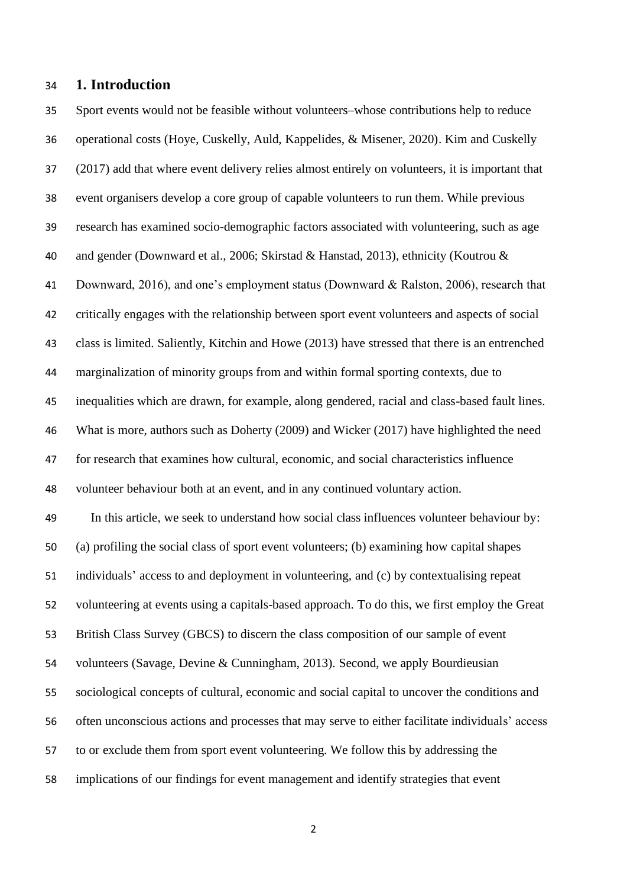# **1. Introduction**

 Sport events would not be feasible without volunteers–whose contributions help to reduce operational costs (Hoye, Cuskelly, Auld, Kappelides, & Misener, 2020). Kim and Cuskelly (2017) add that where event delivery relies almost entirely on volunteers, it is important that event organisers develop a core group of capable volunteers to run them. While previous research has examined socio-demographic factors associated with volunteering, such as age and gender (Downward et al., 2006; Skirstad & Hanstad, 2013), ethnicity (Koutrou & Downward, 2016), and one's employment status (Downward & Ralston, 2006), research that critically engages with the relationship between sport event volunteers and aspects of social class is limited. Saliently, Kitchin and Howe (2013) have stressed that there is an entrenched marginalization of minority groups from and within formal sporting contexts, due to inequalities which are drawn, for example, along gendered, racial and class-based fault lines. What is more, authors such as Doherty (2009) and Wicker (2017) have highlighted the need for research that examines how cultural, economic, and social characteristics influence volunteer behaviour both at an event, and in any continued voluntary action. In this article, we seek to understand how social class influences volunteer behaviour by: (a) profiling the social class of sport event volunteers; (b) examining how capital shapes individuals' access to and deployment in volunteering, and (c) by contextualising repeat volunteering at events using a capitals-based approach. To do this, we first employ the Great British Class Survey (GBCS) to discern the class composition of our sample of event volunteers (Savage, Devine & Cunningham, 2013). Second, we apply Bourdieusian sociological concepts of cultural, economic and social capital to uncover the conditions and often unconscious actions and processes that may serve to either facilitate individuals' access to or exclude them from sport event volunteering. We follow this by addressing the implications of our findings for event management and identify strategies that event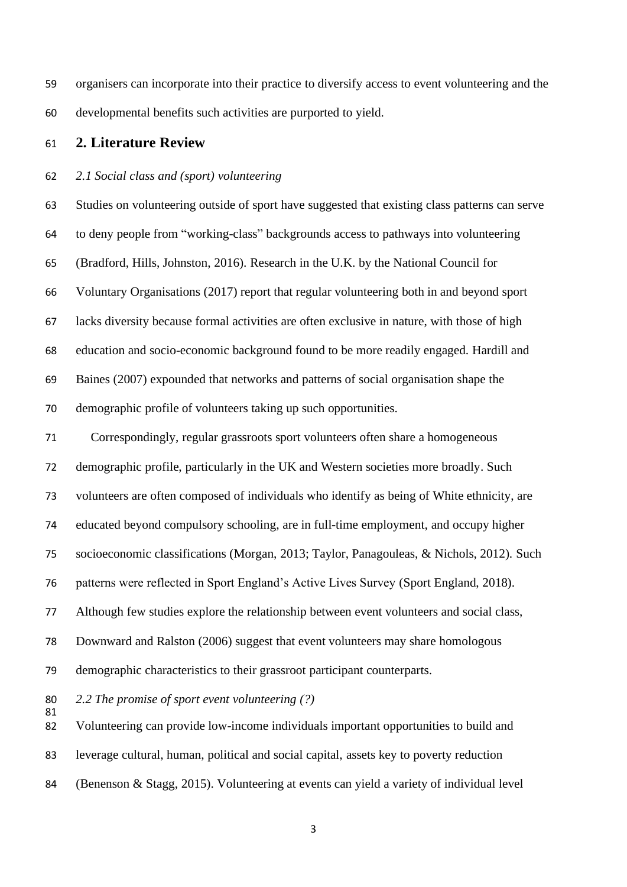organisers can incorporate into their practice to diversify access to event volunteering and the developmental benefits such activities are purported to yield.

#### **2. Literature Review**

#### *2.1 Social class and (sport) volunteering*

 Studies on volunteering outside of sport have suggested that existing class patterns can serve to deny people from "working-class" backgrounds access to pathways into volunteering (Bradford, Hills, Johnston, 2016). Research in the U.K. by the National Council for Voluntary Organisations (2017) report that regular volunteering both in and beyond sport lacks diversity because formal activities are often exclusive in nature, with those of high education and socio-economic background found to be more readily engaged. Hardill and Baines (2007) expounded that networks and patterns of social organisation shape the demographic profile of volunteers taking up such opportunities.

 Correspondingly, regular grassroots sport volunteers often share a homogeneous demographic profile, particularly in the UK and Western societies more broadly. Such volunteers are often composed of individuals who identify as being of White ethnicity, are educated beyond compulsory schooling, are in full-time employment, and occupy higher socioeconomic classifications (Morgan, 2013; Taylor, Panagouleas, & Nichols, 2012). Such patterns were reflected in Sport England's Active Lives Survey (Sport England, 2018). Although few studies explore the relationship between event volunteers and social class, Downward and Ralston (2006) suggest that event volunteers may share homologous demographic characteristics to their grassroot participant counterparts.

 *2.2 The promise of sport event volunteering (?)*  

 Volunteering can provide low-income individuals important opportunities to build and leverage cultural, human, political and social capital, assets key to poverty reduction (Benenson & Stagg, 2015). Volunteering at events can yield a variety of individual level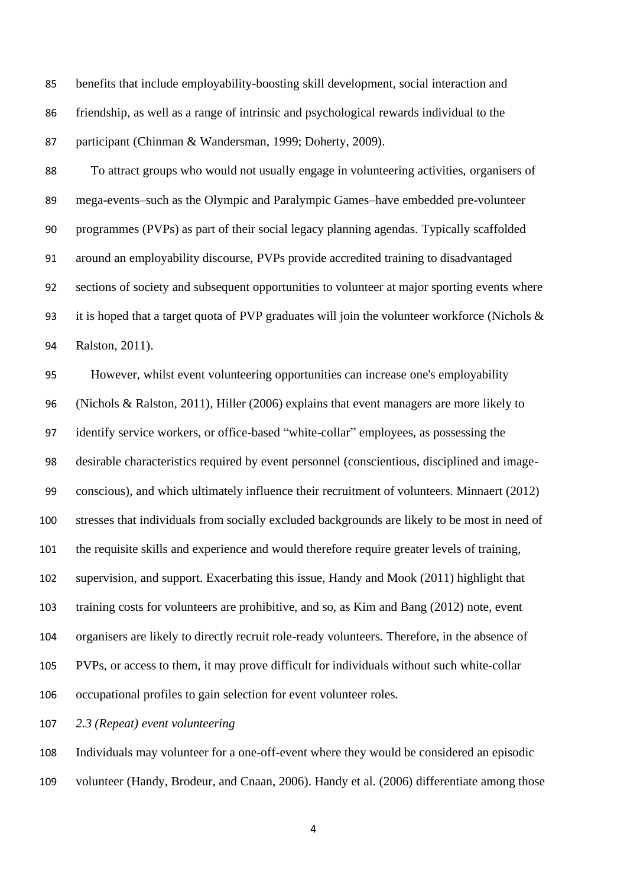benefits that include employability-boosting skill development, social interaction and friendship, as well as a range of intrinsic and psychological rewards individual to the participant (Chinman & Wandersman, 1999; Doherty, 2009).

 To attract groups who would not usually engage in volunteering activities, organisers of mega-events–such as the Olympic and Paralympic Games–have embedded pre-volunteer programmes (PVPs) as part of their social legacy planning agendas. Typically scaffolded around an employability discourse, PVPs provide accredited training to disadvantaged sections of society and subsequent opportunities to volunteer at major sporting events where 93 it is hoped that a target quota of PVP graduates will join the volunteer workforce (Nichols  $\&$ Ralston, 2011).

 However, whilst event volunteering opportunities can increase one's employability (Nichols & Ralston, 2011), Hiller (2006) explains that event managers are more likely to identify service workers, or office-based "white-collar" employees, as possessing the desirable characteristics required by event personnel (conscientious, disciplined and image- conscious), and which ultimately influence their recruitment of volunteers. Minnaert (2012) stresses that individuals from socially excluded backgrounds are likely to be most in need of the requisite skills and experience and would therefore require greater levels of training, supervision, and support. Exacerbating this issue, Handy and Mook (2011) highlight that training costs for volunteers are prohibitive, and so, as Kim and Bang (2012) note, event organisers are likely to directly recruit role-ready volunteers. Therefore, in the absence of PVPs, or access to them, it may prove difficult for individuals without such white-collar occupational profiles to gain selection for event volunteer roles.

*2.3 (Repeat) event volunteering* 

Individuals may volunteer for a one-off-event where they would be considered an episodic

volunteer (Handy, Brodeur, and Cnaan, 2006). Handy et al. (2006) differentiate among those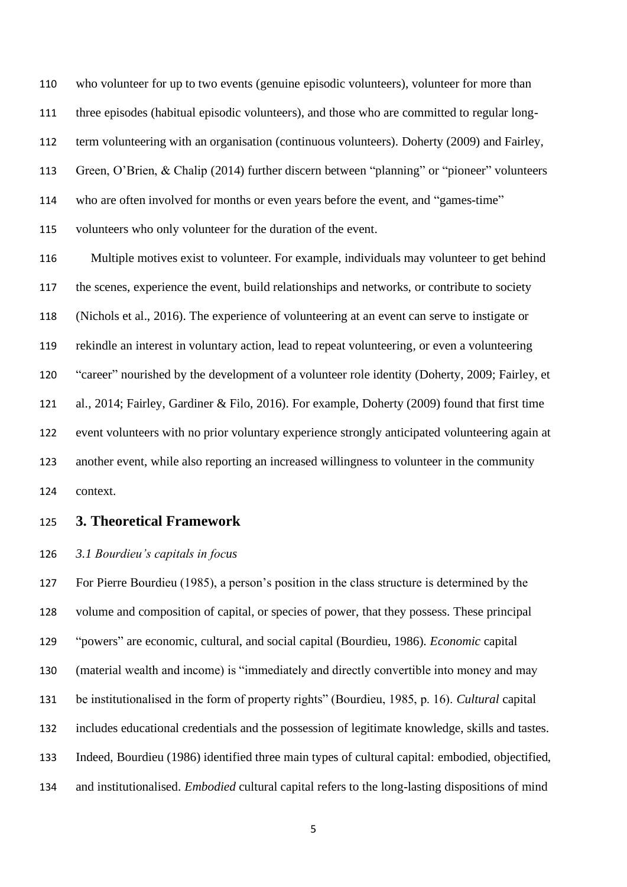who volunteer for up to two events (genuine episodic volunteers), volunteer for more than three episodes (habitual episodic volunteers), and those who are committed to regular long- term volunteering with an organisation (continuous volunteers). Doherty (2009) and Fairley, Green, O'Brien, & Chalip (2014) further discern between "planning" or "pioneer" volunteers who are often involved for months or even years before the event, and "games-time" volunteers who only volunteer for the duration of the event.

 Multiple motives exist to volunteer. For example, individuals may volunteer to get behind the scenes, experience the event, build relationships and networks, or contribute to society (Nichols et al., 2016). The experience of volunteering at an event can serve to instigate or rekindle an interest in voluntary action, lead to repeat volunteering, or even a volunteering "career" nourished by the development of a volunteer role identity (Doherty, 2009; Fairley, et al., 2014; Fairley, Gardiner & Filo, 2016). For example, Doherty (2009) found that first time event volunteers with no prior voluntary experience strongly anticipated volunteering again at another event, while also reporting an increased willingness to volunteer in the community context.

### **3. Theoretical Framework**

#### *3.1 Bourdieu's capitals in focus*

 For Pierre Bourdieu (1985), a person's position in the class structure is determined by the volume and composition of capital, or species of power, that they possess. These principal "powers" are economic, cultural, and social capital (Bourdieu, 1986). *Economic* capital (material wealth and income) is "immediately and directly convertible into money and may be institutionalised in the form of property rights" (Bourdieu, 1985, p. 16). *Cultural* capital includes educational credentials and the possession of legitimate knowledge, skills and tastes. Indeed, Bourdieu (1986) identified three main types of cultural capital: embodied, objectified, and institutionalised. *Embodied* cultural capital refers to the long-lasting dispositions of mind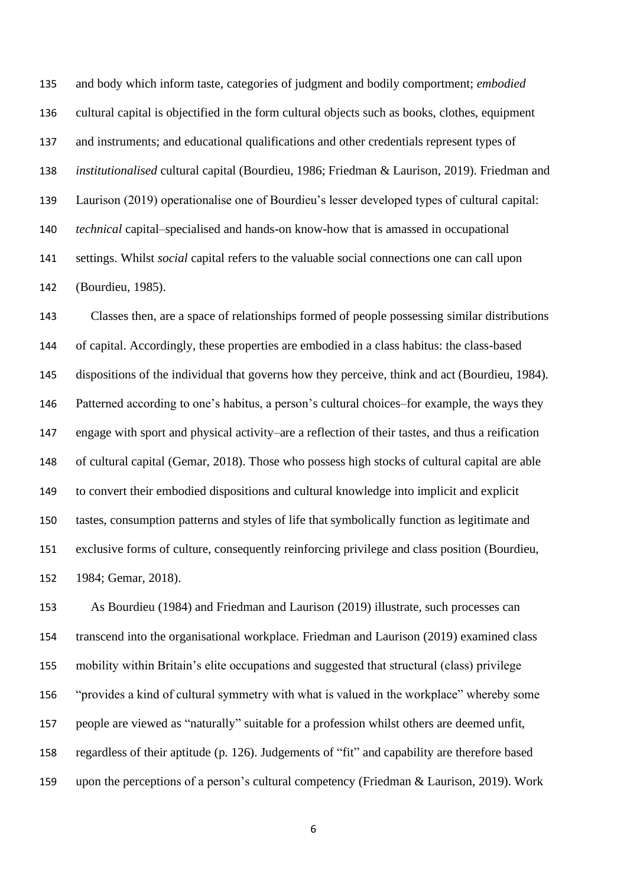and body which inform taste, categories of judgment and bodily comportment; *embodied* cultural capital is objectified in the form cultural objects such as books, clothes, equipment and instruments; and educational qualifications and other credentials represent types of *institutionalised* cultural capital (Bourdieu, 1986; Friedman & Laurison, 2019). Friedman and Laurison (2019) operationalise one of Bourdieu's lesser developed types of cultural capital: *technical* capital–specialised and hands-on know-how that is amassed in occupational settings. Whilst *social* capital refers to the valuable social connections one can call upon (Bourdieu, 1985).

 Classes then, are a space of relationships formed of people possessing similar distributions of capital. Accordingly, these properties are embodied in a class habitus: the class-based dispositions of the individual that governs how they perceive, think and act (Bourdieu, 1984). Patterned according to one's habitus, a person's cultural choices–for example, the ways they engage with sport and physical activity–are a reflection of their tastes, and thus a reification of cultural capital (Gemar, 2018). Those who possess high stocks of cultural capital are able to convert their embodied dispositions and cultural knowledge into implicit and explicit tastes, consumption patterns and styles of life that symbolically function as legitimate and exclusive forms of culture, consequently reinforcing privilege and class position (Bourdieu, 1984; Gemar, 2018).

 As Bourdieu (1984) and Friedman and Laurison (2019) illustrate, such processes can transcend into the organisational workplace. Friedman and Laurison (2019) examined class mobility within Britain's elite occupations and suggested that structural (class) privilege "provides a kind of cultural symmetry with what is valued in the workplace" whereby some people are viewed as "naturally" suitable for a profession whilst others are deemed unfit, regardless of their aptitude (p. 126). Judgements of "fit" and capability are therefore based upon the perceptions of a person's cultural competency (Friedman & Laurison, 2019). Work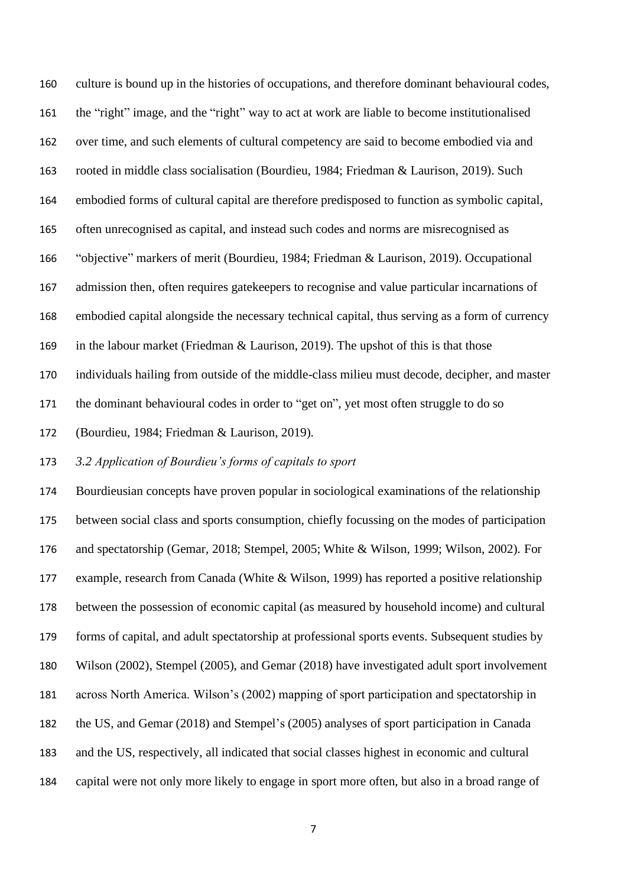culture is bound up in the histories of occupations, and therefore dominant behavioural codes, the "right" image, and the "right" way to act at work are liable to become institutionalised over time, and such elements of cultural competency are said to become embodied via and rooted in middle class socialisation (Bourdieu, 1984; Friedman & Laurison, 2019). Such embodied forms of cultural capital are therefore predisposed to function as symbolic capital, often unrecognised as capital, and instead such codes and norms are misrecognised as "objective" markers of merit (Bourdieu, 1984; Friedman & Laurison, 2019). Occupational admission then, often requires gatekeepers to recognise and value particular incarnations of embodied capital alongside the necessary technical capital, thus serving as a form of currency in the labour market (Friedman & Laurison, 2019). The upshot of this is that those individuals hailing from outside of the middle-class milieu must decode, decipher, and master the dominant behavioural codes in order to "get on", yet most often struggle to do so (Bourdieu, 1984; Friedman & Laurison, 2019).

*3.2 Application of Bourdieu's forms of capitals to sport*

 Bourdieusian concepts have proven popular in sociological examinations of the relationship between social class and sports consumption, chiefly focussing on the modes of participation and spectatorship (Gemar, 2018; Stempel, 2005; White & Wilson, 1999; Wilson, 2002). For example, research from Canada (White & Wilson, 1999) has reported a positive relationship between the possession of economic capital (as measured by household income) and cultural forms of capital, and adult spectatorship at professional sports events. Subsequent studies by Wilson (2002), Stempel (2005), and Gemar (2018) have investigated adult sport involvement across North America. Wilson's (2002) mapping of sport participation and spectatorship in the US, and Gemar (2018) and Stempel's (2005) analyses of sport participation in Canada and the US, respectively, all indicated that social classes highest in economic and cultural capital were not only more likely to engage in sport more often, but also in a broad range of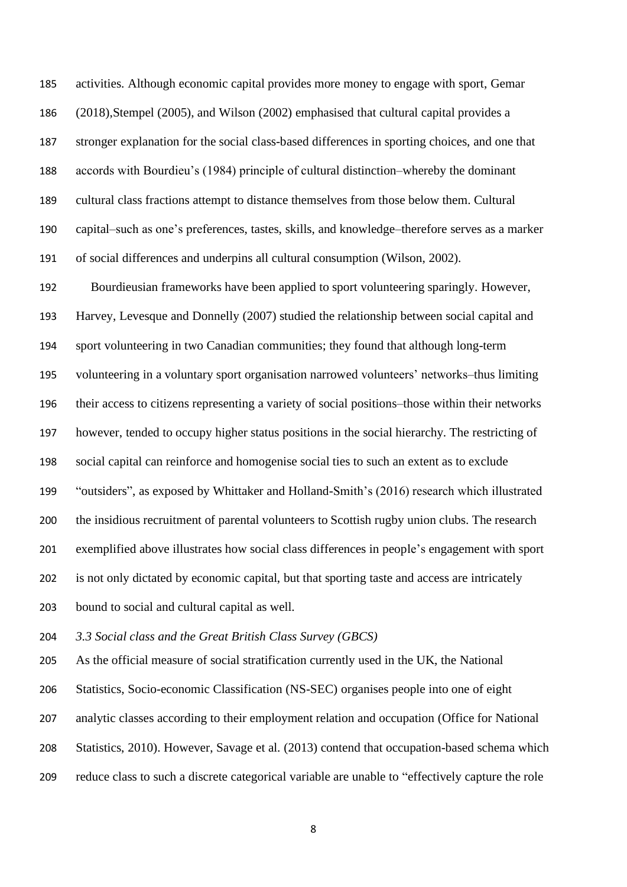activities. Although economic capital provides more money to engage with sport, Gemar (2018),Stempel (2005), and Wilson (2002) emphasised that cultural capital provides a stronger explanation for the social class-based differences in sporting choices, and one that accords with Bourdieu's (1984) principle of cultural distinction–whereby the dominant cultural class fractions attempt to distance themselves from those below them. Cultural capital–such as one's preferences, tastes, skills, and knowledge–therefore serves as a marker of social differences and underpins all cultural consumption (Wilson, 2002).

 Bourdieusian frameworks have been applied to sport volunteering sparingly. However, Harvey, Levesque and Donnelly (2007) studied the relationship between social capital and sport volunteering in two Canadian communities; they found that although long-term volunteering in a voluntary sport organisation narrowed volunteers' networks–thus limiting their access to citizens representing a variety of social positions–those within their networks however, tended to occupy higher status positions in the social hierarchy. The restricting of social capital can reinforce and homogenise social ties to such an extent as to exclude "outsiders", as exposed by Whittaker and Holland-Smith's (2016) research which illustrated the insidious recruitment of parental volunteers to Scottish rugby union clubs. The research exemplified above illustrates how social class differences in people's engagement with sport is not only dictated by economic capital, but that sporting taste and access are intricately bound to social and cultural capital as well.

*3.3 Social class and the Great British Class Survey (GBCS)*

As the official measure of social stratification currently used in the UK, the National

Statistics, Socio-economic Classification (NS-SEC) organises people into one of eight

- analytic classes according to their employment relation and occupation (Office for National
- Statistics, 2010). However, Savage et al. (2013) contend that occupation-based schema which
- reduce class to such a discrete categorical variable are unable to "effectively capture the role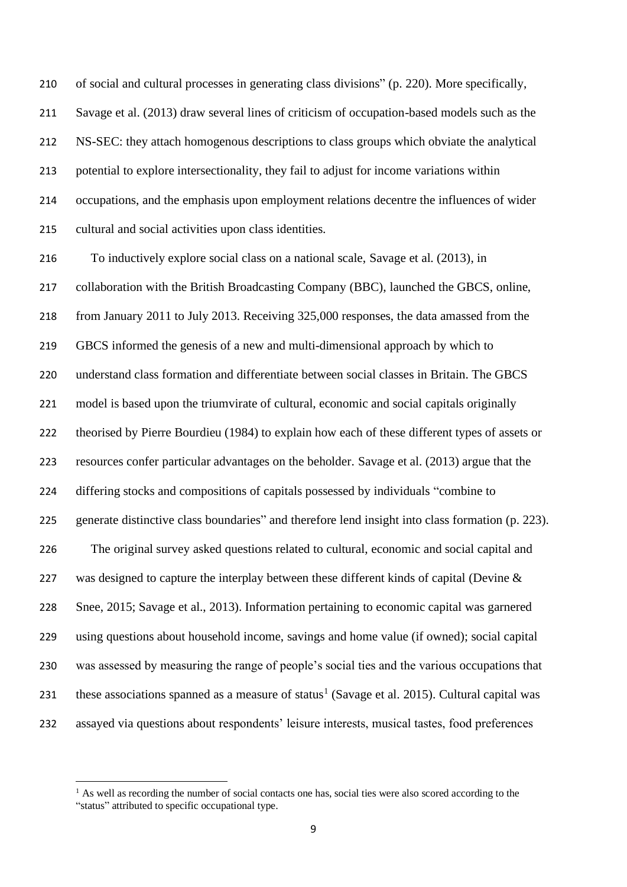of social and cultural processes in generating class divisions" (p. 220). More specifically, Savage et al. (2013) draw several lines of criticism of occupation-based models such as the NS-SEC: they attach homogenous descriptions to class groups which obviate the analytical potential to explore intersectionality, they fail to adjust for income variations within occupations, and the emphasis upon employment relations decentre the influences of wider cultural and social activities upon class identities.

 To inductively explore social class on a national scale, Savage et al. (2013), in collaboration with the British Broadcasting Company (BBC), launched the GBCS, online, from January 2011 to July 2013. Receiving 325,000 responses, the data amassed from the GBCS informed the genesis of a new and multi-dimensional approach by which to understand class formation and differentiate between social classes in Britain. The GBCS model is based upon the triumvirate of cultural, economic and social capitals originally theorised by Pierre Bourdieu (1984) to explain how each of these different types of assets or resources confer particular advantages on the beholder. Savage et al. (2013) argue that the differing stocks and compositions of capitals possessed by individuals "combine to generate distinctive class boundaries" and therefore lend insight into class formation (p. 223). The original survey asked questions related to cultural, economic and social capital and 227 was designed to capture the interplay between these different kinds of capital (Devine & Snee, 2015; Savage et al., 2013). Information pertaining to economic capital was garnered using questions about household income, savings and home value (if owned); social capital was assessed by measuring the range of people's social ties and the various occupations that 231 these associations spanned as a measure of status<sup>1</sup> (Savage et al. 2015). Cultural capital was assayed via questions about respondents' leisure interests, musical tastes, food preferences

 $<sup>1</sup>$  As well as recording the number of social contacts one has, social ties were also scored according to the</sup>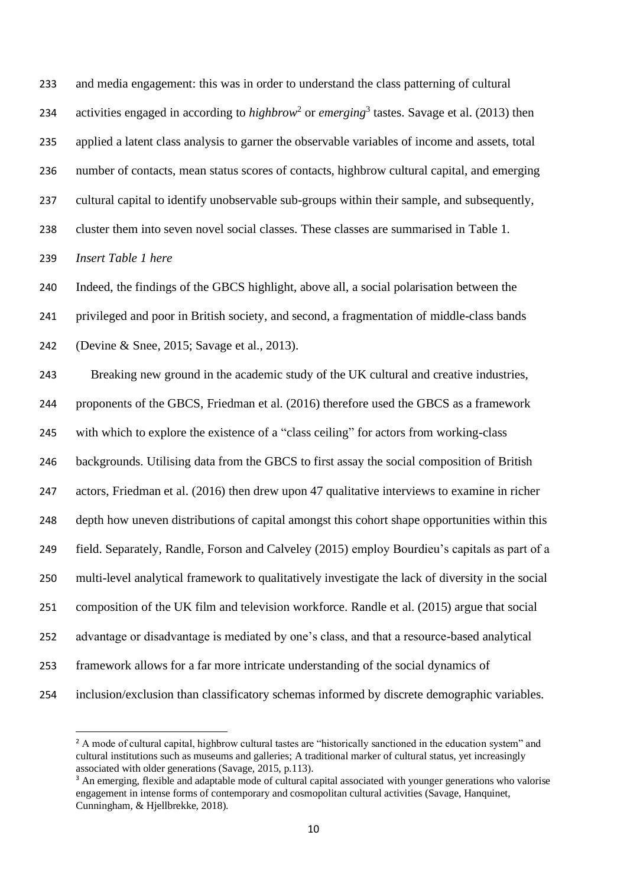and media engagement: this was in order to understand the class patterning of cultural 234 activities engaged in according to *highbrow*<sup>2</sup> or *emerging*<sup>3</sup> tastes. Savage et al. (2013) then applied a latent class analysis to garner the observable variables of income and assets, total number of contacts, mean status scores of contacts, highbrow cultural capital, and emerging cultural capital to identify unobservable sub-groups within their sample, and subsequently, cluster them into seven novel social classes. These classes are summarised in Table 1. *Insert Table 1 here*

 Indeed, the findings of the GBCS highlight, above all, a social polarisation between the privileged and poor in British society, and second, a fragmentation of middle-class bands (Devine & Snee, 2015; Savage et al., 2013).

 Breaking new ground in the academic study of the UK cultural and creative industries, proponents of the GBCS, Friedman et al. (2016) therefore used the GBCS as a framework with which to explore the existence of a "class ceiling" for actors from working-class backgrounds. Utilising data from the GBCS to first assay the social composition of British actors, Friedman et al. (2016) then drew upon 47 qualitative interviews to examine in richer depth how uneven distributions of capital amongst this cohort shape opportunities within this field. Separately, Randle, Forson and Calveley (2015) employ Bourdieu's capitals as part of a multi-level analytical framework to qualitatively investigate the lack of diversity in the social composition of the UK film and television workforce. Randle et al. (2015) argue that social advantage or disadvantage is mediated by one's class, and that a resource-based analytical framework allows for a far more intricate understanding of the social dynamics of

inclusion/exclusion than classificatory schemas informed by discrete demographic variables.

<sup>&</sup>lt;sup>2</sup> A mode of cultural capital, highbrow cultural tastes are "historically sanctioned in the education system" and cultural institutions such as museums and galleries; A traditional marker of cultural status, yet increasingly associated with older generations (Savage, 2015, p.113).

<sup>&</sup>lt;sup>3</sup> An emerging, flexible and adaptable mode of cultural capital associated with younger generations who valorise engagement in intense forms of contemporary and cosmopolitan cultural activities (Savage, Hanquinet, Cunningham, & Hjellbrekke, 2018).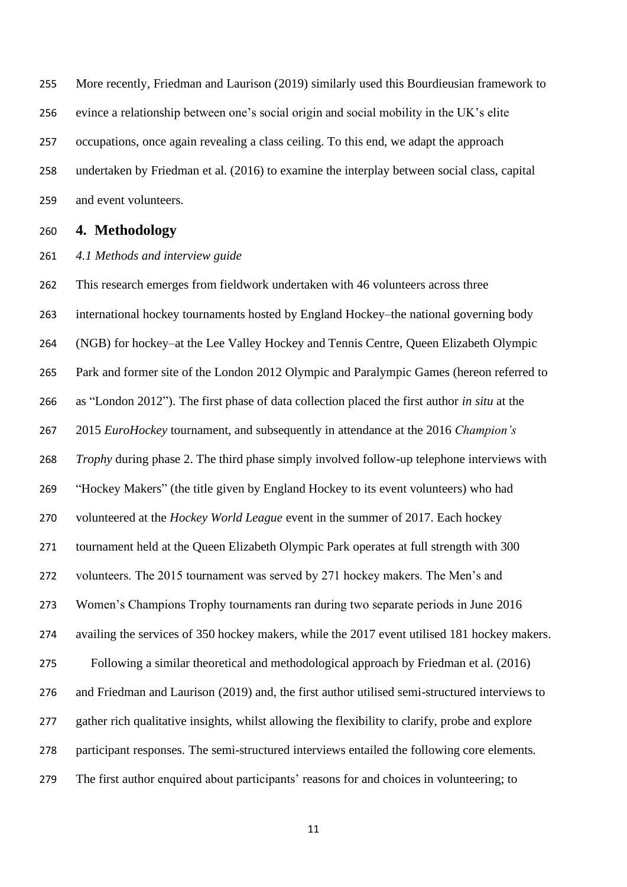More recently, Friedman and Laurison (2019) similarly used this Bourdieusian framework to evince a relationship between one's social origin and social mobility in the UK's elite occupations, once again revealing a class ceiling. To this end, we adapt the approach undertaken by Friedman et al. (2016) to examine the interplay between social class, capital and event volunteers.

#### **4. Methodology**

#### *4.1 Methods and interview guide*

 This research emerges from fieldwork undertaken with 46 volunteers across three international hockey tournaments hosted by England Hockey–the national governing body (NGB) for hockey–at the Lee Valley Hockey and Tennis Centre, Queen Elizabeth Olympic Park and former site of the London 2012 Olympic and Paralympic Games (hereon referred to as "London 2012"). The first phase of data collection placed the first author *in situ* at the 2015 *EuroHockey* tournament, and subsequently in attendance at the 2016 *Champion's Trophy* during phase 2. The third phase simply involved follow-up telephone interviews with "Hockey Makers" (the title given by England Hockey to its event volunteers) who had volunteered at the *Hockey World League* event in the summer of 2017. Each hockey tournament held at the Queen Elizabeth Olympic Park operates at full strength with 300 volunteers. The 2015 tournament was served by 271 hockey makers. The Men's and Women's Champions Trophy tournaments ran during two separate periods in June 2016 availing the services of 350 hockey makers, while the 2017 event utilised 181 hockey makers. Following a similar theoretical and methodological approach by Friedman et al. (2016) and Friedman and Laurison (2019) and, the first author utilised semi-structured interviews to gather rich qualitative insights, whilst allowing the flexibility to clarify, probe and explore participant responses. The semi-structured interviews entailed the following core elements. The first author enquired about participants' reasons for and choices in volunteering; to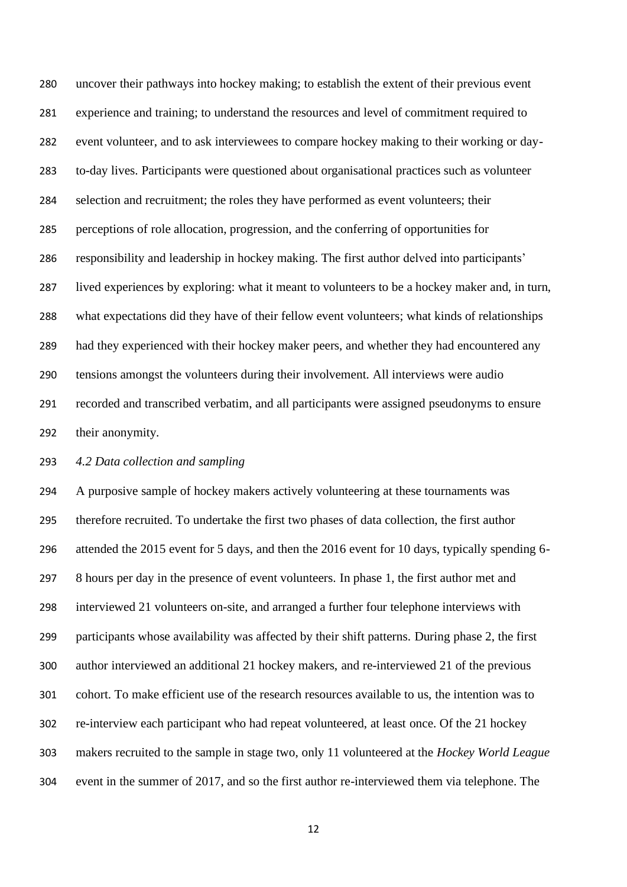uncover their pathways into hockey making; to establish the extent of their previous event experience and training; to understand the resources and level of commitment required to event volunteer, and to ask interviewees to compare hockey making to their working or day- to-day lives. Participants were questioned about organisational practices such as volunteer selection and recruitment; the roles they have performed as event volunteers; their perceptions of role allocation, progression, and the conferring of opportunities for responsibility and leadership in hockey making. The first author delved into participants' lived experiences by exploring: what it meant to volunteers to be a hockey maker and, in turn, what expectations did they have of their fellow event volunteers; what kinds of relationships had they experienced with their hockey maker peers, and whether they had encountered any tensions amongst the volunteers during their involvement. All interviews were audio recorded and transcribed verbatim, and all participants were assigned pseudonyms to ensure their anonymity.

### *4.2 Data collection and sampling*

 A purposive sample of hockey makers actively volunteering at these tournaments was therefore recruited. To undertake the first two phases of data collection, the first author attended the 2015 event for 5 days, and then the 2016 event for 10 days, typically spending 6- 8 hours per day in the presence of event volunteers. In phase 1, the first author met and interviewed 21 volunteers on-site, and arranged a further four telephone interviews with participants whose availability was affected by their shift patterns. During phase 2, the first author interviewed an additional 21 hockey makers, and re-interviewed 21 of the previous cohort. To make efficient use of the research resources available to us, the intention was to re-interview each participant who had repeat volunteered, at least once. Of the 21 hockey makers recruited to the sample in stage two, only 11 volunteered at the *Hockey World League* event in the summer of 2017, and so the first author re-interviewed them via telephone. The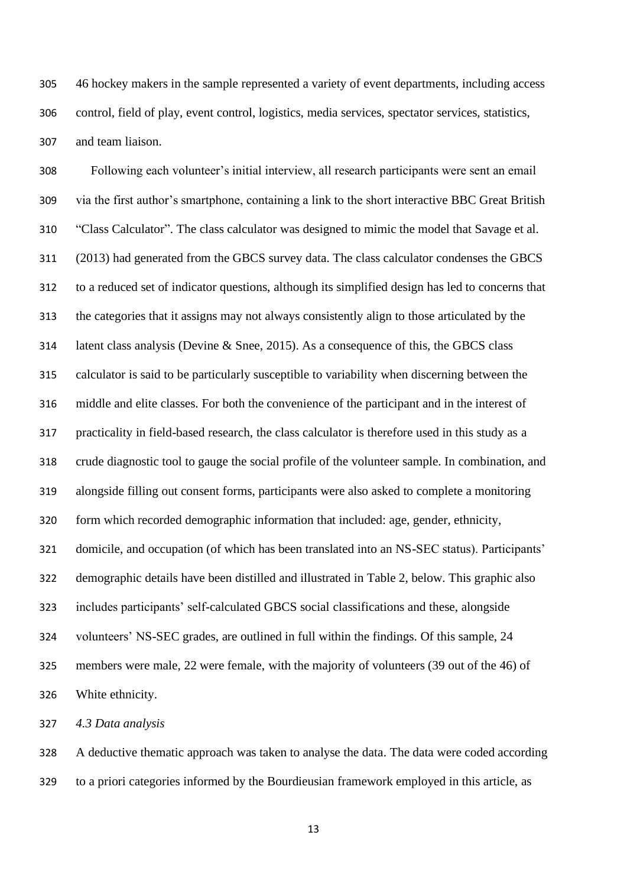46 hockey makers in the sample represented a variety of event departments, including access control, field of play, event control, logistics, media services, spectator services, statistics, and team liaison.

 Following each volunteer's initial interview, all research participants were sent an email via the first author's smartphone, containing a link to the short interactive BBC Great British "Class Calculator". The class calculator was designed to mimic the model that Savage et al. (2013) had generated from the GBCS survey data. The class calculator condenses the GBCS to a reduced set of indicator questions, although its simplified design has led to concerns that the categories that it assigns may not always consistently align to those articulated by the latent class analysis (Devine & Snee, 2015). As a consequence of this, the GBCS class calculator is said to be particularly susceptible to variability when discerning between the middle and elite classes. For both the convenience of the participant and in the interest of practicality in field-based research, the class calculator is therefore used in this study as a crude diagnostic tool to gauge the social profile of the volunteer sample. In combination, and alongside filling out consent forms, participants were also asked to complete a monitoring form which recorded demographic information that included: age, gender, ethnicity, domicile, and occupation (of which has been translated into an NS-SEC status). Participants' demographic details have been distilled and illustrated in Table 2, below. This graphic also includes participants' self-calculated GBCS social classifications and these, alongside volunteers' NS-SEC grades, are outlined in full within the findings. Of this sample, 24 members were male, 22 were female, with the majority of volunteers (39 out of the 46) of White ethnicity.

*4.3 Data analysis*

 A deductive thematic approach was taken to analyse the data. The data were coded according to a priori categories informed by the Bourdieusian framework employed in this article, as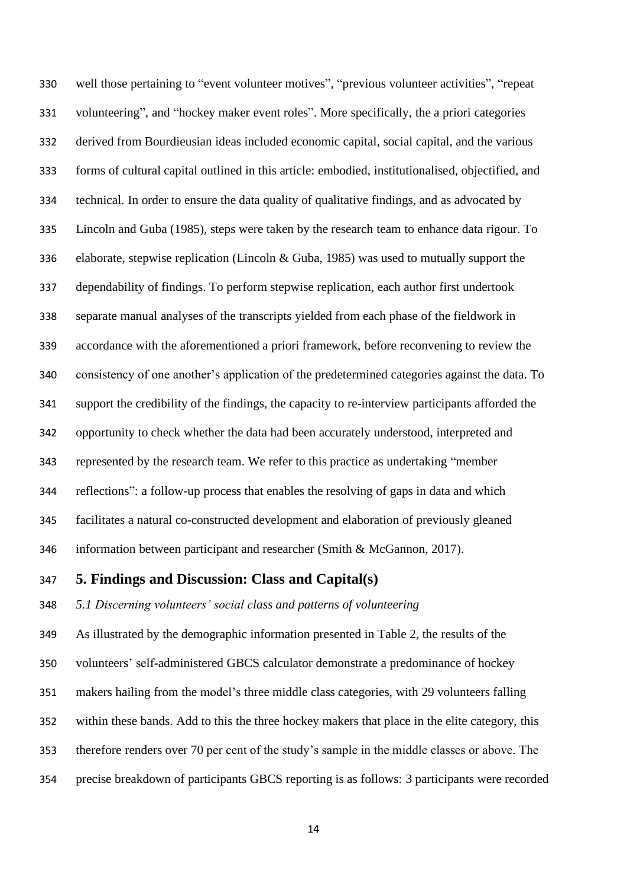well those pertaining to "event volunteer motives", "previous volunteer activities", "repeat volunteering", and "hockey maker event roles". More specifically, the a priori categories derived from Bourdieusian ideas included economic capital, social capital, and the various forms of cultural capital outlined in this article: embodied, institutionalised, objectified, and technical. In order to ensure the data quality of qualitative findings, and as advocated by Lincoln and Guba (1985), steps were taken by the research team to enhance data rigour. To elaborate, stepwise replication (Lincoln & Guba, 1985) was used to mutually support the dependability of findings. To perform stepwise replication, each author first undertook separate manual analyses of the transcripts yielded from each phase of the fieldwork in accordance with the aforementioned a priori framework, before reconvening to review the consistency of one another's application of the predetermined categories against the data. To support the credibility of the findings, the capacity to re-interview participants afforded the opportunity to check whether the data had been accurately understood, interpreted and represented by the research team. We refer to this practice as undertaking "member reflections": a follow-up process that enables the resolving of gaps in data and which facilitates a natural co-constructed development and elaboration of previously gleaned information between participant and researcher (Smith & McGannon, 2017).

# **5. Findings and Discussion: Class and Capital(s)**

*5.1 Discerning volunteers' social class and patterns of volunteering*

 As illustrated by the demographic information presented in Table 2, the results of the volunteers' self-administered GBCS calculator demonstrate a predominance of hockey makers hailing from the model's three middle class categories, with 29 volunteers falling within these bands. Add to this the three hockey makers that place in the elite category, this therefore renders over 70 per cent of the study's sample in the middle classes or above. The precise breakdown of participants GBCS reporting is as follows: 3 participants were recorded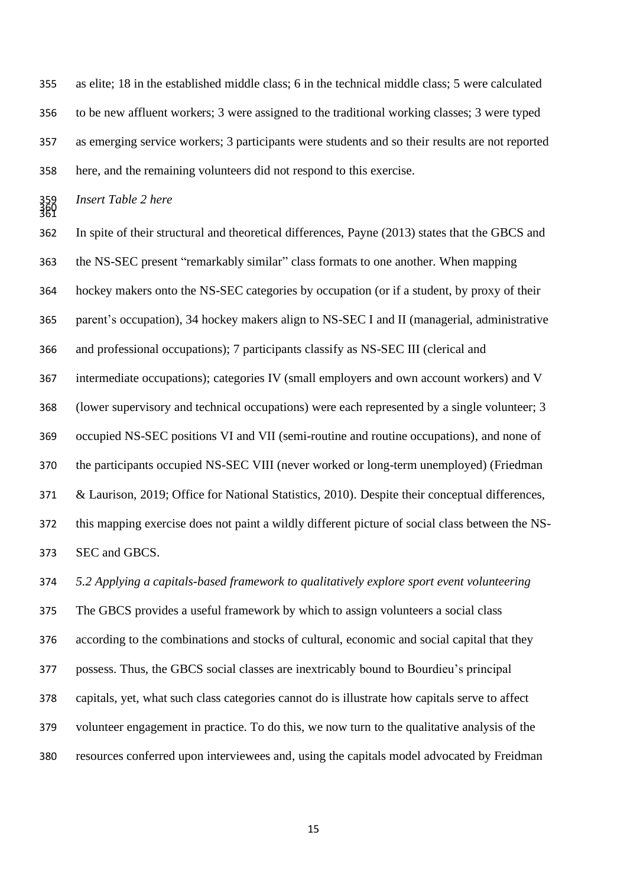as elite; 18 in the established middle class; 6 in the technical middle class; 5 were calculated to be new affluent workers; 3 were assigned to the traditional working classes; 3 were typed as emerging service workers; 3 participants were students and so their results are not reported here, and the remaining volunteers did not respond to this exercise.

**Insert Table 2 here** 359<br>360

 In spite of their structural and theoretical differences, Payne (2013) states that the GBCS and the NS-SEC present "remarkably similar" class formats to one another. When mapping hockey makers onto the NS-SEC categories by occupation (or if a student, by proxy of their parent's occupation), 34 hockey makers align to NS-SEC I and II (managerial, administrative and professional occupations); 7 participants classify as NS-SEC III (clerical and intermediate occupations); categories IV (small employers and own account workers) and V (lower supervisory and technical occupations) were each represented by a single volunteer; 3 occupied NS-SEC positions VI and VII (semi-routine and routine occupations), and none of the participants occupied NS-SEC VIII (never worked or long-term unemployed) (Friedman & Laurison, 2019; Office for National Statistics, 2010). Despite their conceptual differences, this mapping exercise does not paint a wildly different picture of social class between the NS-SEC and GBCS.

 *5.2 Applying a capitals-based framework to qualitatively explore sport event volunteering* The GBCS provides a useful framework by which to assign volunteers a social class according to the combinations and stocks of cultural, economic and social capital that they possess. Thus, the GBCS social classes are inextricably bound to Bourdieu's principal capitals, yet, what such class categories cannot do is illustrate how capitals serve to affect volunteer engagement in practice. To do this, we now turn to the qualitative analysis of the resources conferred upon interviewees and, using the capitals model advocated by Freidman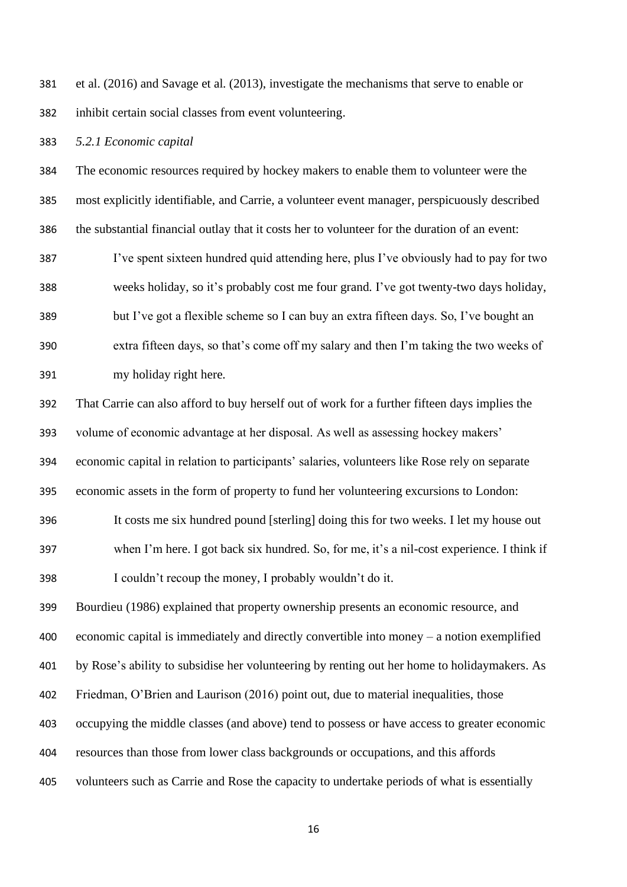et al. (2016) and Savage et al. (2013), investigate the mechanisms that serve to enable or inhibit certain social classes from event volunteering.

#### *5.2.1 Economic capital*

 The economic resources required by hockey makers to enable them to volunteer were the most explicitly identifiable, and Carrie, a volunteer event manager, perspicuously described the substantial financial outlay that it costs her to volunteer for the duration of an event: I've spent sixteen hundred quid attending here, plus I've obviously had to pay for two weeks holiday, so it's probably cost me four grand. I've got twenty-two days holiday, but I've got a flexible scheme so I can buy an extra fifteen days. So, I've bought an extra fifteen days, so that's come off my salary and then I'm taking the two weeks of my holiday right here.

 That Carrie can also afford to buy herself out of work for a further fifteen days implies the volume of economic advantage at her disposal. As well as assessing hockey makers' economic capital in relation to participants' salaries, volunteers like Rose rely on separate economic assets in the form of property to fund her volunteering excursions to London: It costs me six hundred pound [sterling] doing this for two weeks. I let my house out

 when I'm here. I got back six hundred. So, for me, it's a nil-cost experience. I think if I couldn't recoup the money, I probably wouldn't do it.

 Bourdieu (1986) explained that property ownership presents an economic resource, and economic capital is immediately and directly convertible into money – a notion exemplified by Rose's ability to subsidise her volunteering by renting out her home to holidaymakers. As Friedman, O'Brien and Laurison (2016) point out, due to material inequalities, those occupying the middle classes (and above) tend to possess or have access to greater economic resources than those from lower class backgrounds or occupations, and this affords volunteers such as Carrie and Rose the capacity to undertake periods of what is essentially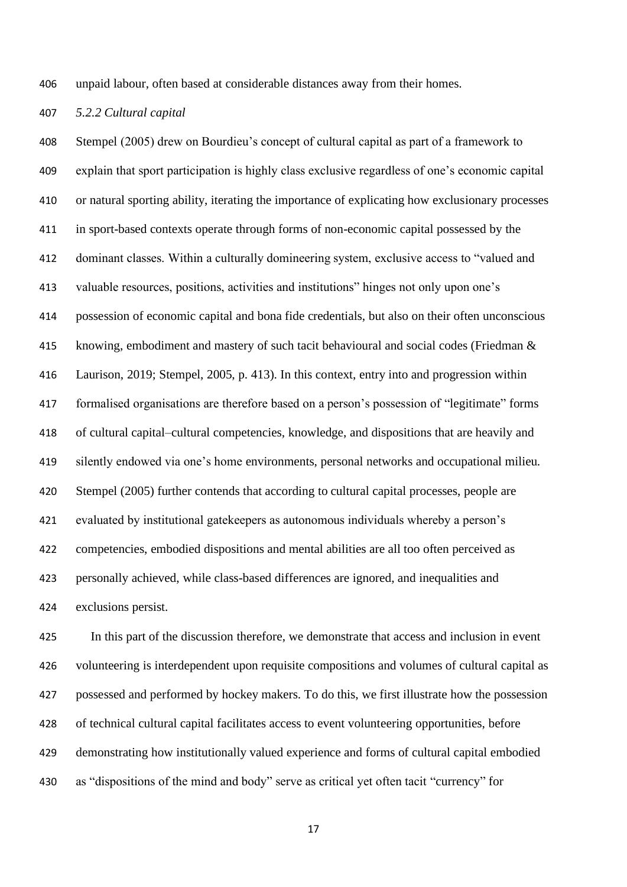unpaid labour, often based at considerable distances away from their homes.

# *5.2.2 Cultural capital*

 Stempel (2005) drew on Bourdieu's concept of cultural capital as part of a framework to explain that sport participation is highly class exclusive regardless of one's economic capital or natural sporting ability, iterating the importance of explicating how exclusionary processes in sport-based contexts operate through forms of non-economic capital possessed by the dominant classes. Within a culturally domineering system, exclusive access to "valued and valuable resources, positions, activities and institutions" hinges not only upon one's possession of economic capital and bona fide credentials, but also on their often unconscious knowing, embodiment and mastery of such tacit behavioural and social codes (Friedman & Laurison, 2019; Stempel, 2005, p. 413). In this context, entry into and progression within formalised organisations are therefore based on a person's possession of "legitimate" forms of cultural capital–cultural competencies, knowledge, and dispositions that are heavily and silently endowed via one's home environments, personal networks and occupational milieu. Stempel (2005) further contends that according to cultural capital processes, people are evaluated by institutional gatekeepers as autonomous individuals whereby a person's competencies, embodied dispositions and mental abilities are all too often perceived as personally achieved, while class-based differences are ignored, and inequalities and exclusions persist.

 In this part of the discussion therefore, we demonstrate that access and inclusion in event volunteering is interdependent upon requisite compositions and volumes of cultural capital as possessed and performed by hockey makers. To do this, we first illustrate how the possession of technical cultural capital facilitates access to event volunteering opportunities, before demonstrating how institutionally valued experience and forms of cultural capital embodied as "dispositions of the mind and body" serve as critical yet often tacit "currency" for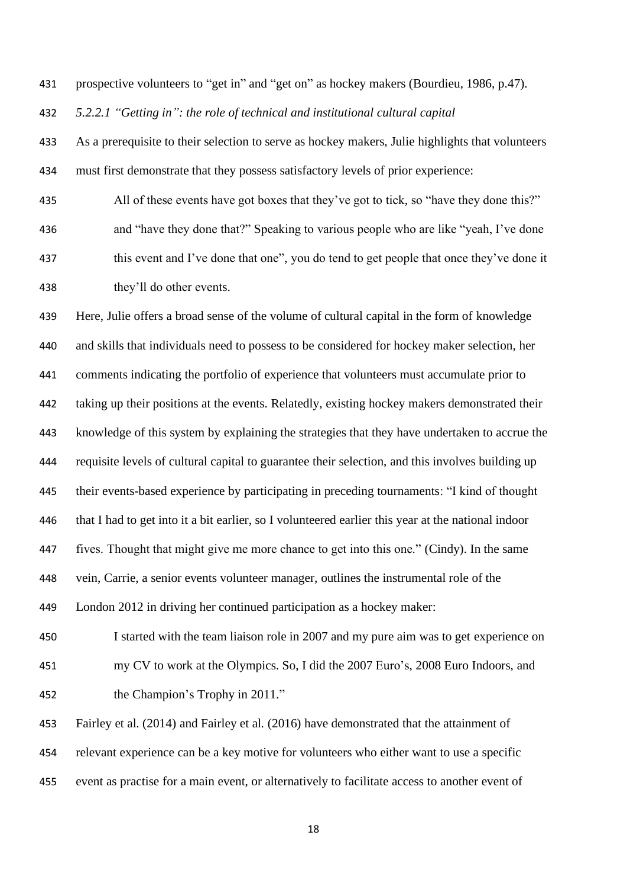prospective volunteers to "get in" and "get on" as hockey makers (Bourdieu, 1986, p.47).

*5.2.2.1 "Getting in": the role of technical and institutional cultural capital*

 As a prerequisite to their selection to serve as hockey makers, Julie highlights that volunteers must first demonstrate that they possess satisfactory levels of prior experience:

 All of these events have got boxes that they've got to tick, so "have they done this?" and "have they done that?" Speaking to various people who are like "yeah, I've done this event and I've done that one", you do tend to get people that once they've done it they'll do other events.

 Here, Julie offers a broad sense of the volume of cultural capital in the form of knowledge and skills that individuals need to possess to be considered for hockey maker selection, her comments indicating the portfolio of experience that volunteers must accumulate prior to taking up their positions at the events. Relatedly, existing hockey makers demonstrated their knowledge of this system by explaining the strategies that they have undertaken to accrue the requisite levels of cultural capital to guarantee their selection, and this involves building up their events-based experience by participating in preceding tournaments: "I kind of thought that I had to get into it a bit earlier, so I volunteered earlier this year at the national indoor fives. Thought that might give me more chance to get into this one." (Cindy). In the same vein, Carrie, a senior events volunteer manager, outlines the instrumental role of the London 2012 in driving her continued participation as a hockey maker:

450 I started with the team liaison role in 2007 and my pure aim was to get experience on my CV to work at the Olympics. So, I did the 2007 Euro's, 2008 Euro Indoors, and the Champion's Trophy in 2011."

 Fairley et al. (2014) and Fairley et al. (2016) have demonstrated that the attainment of relevant experience can be a key motive for volunteers who either want to use a specific event as practise for a main event, or alternatively to facilitate access to another event of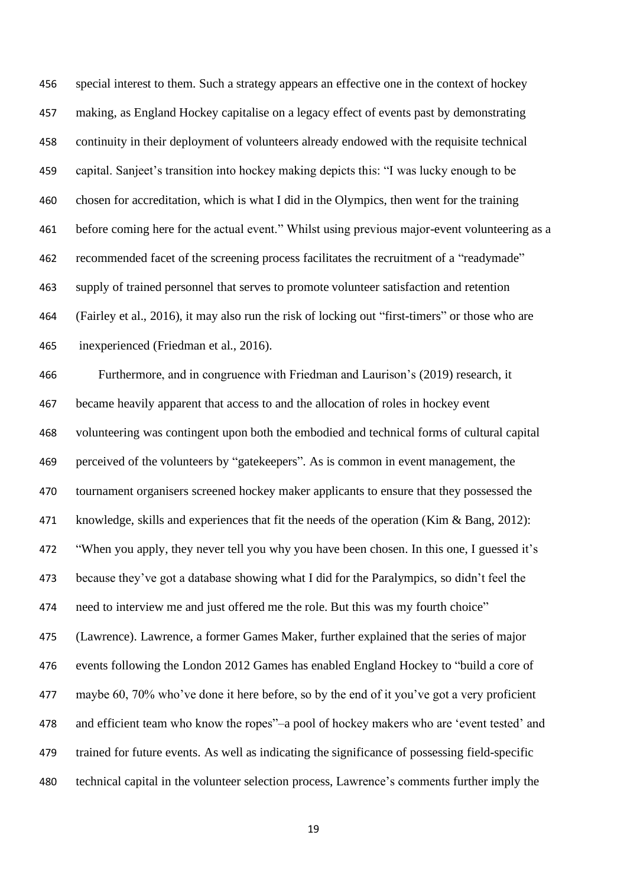special interest to them. Such a strategy appears an effective one in the context of hockey making, as England Hockey capitalise on a legacy effect of events past by demonstrating continuity in their deployment of volunteers already endowed with the requisite technical capital. Sanjeet's transition into hockey making depicts this: "I was lucky enough to be chosen for accreditation, which is what I did in the Olympics, then went for the training before coming here for the actual event." Whilst using previous major-event volunteering as a recommended facet of the screening process facilitates the recruitment of a "readymade" supply of trained personnel that serves to promote volunteer satisfaction and retention (Fairley et al., 2016), it may also run the risk of locking out "first-timers" or those who are inexperienced (Friedman et al., 2016).

 Furthermore, and in congruence with Friedman and Laurison's (2019) research, it became heavily apparent that access to and the allocation of roles in hockey event volunteering was contingent upon both the embodied and technical forms of cultural capital perceived of the volunteers by "gatekeepers". As is common in event management, the tournament organisers screened hockey maker applicants to ensure that they possessed the knowledge, skills and experiences that fit the needs of the operation (Kim & Bang, 2012): "When you apply, they never tell you why you have been chosen. In this one, I guessed it's because they've got a database showing what I did for the Paralympics, so didn't feel the need to interview me and just offered me the role. But this was my fourth choice" (Lawrence). Lawrence, a former Games Maker, further explained that the series of major events following the London 2012 Games has enabled England Hockey to "build a core of maybe 60, 70% who've done it here before, so by the end of it you've got a very proficient and efficient team who know the ropes"–a pool of hockey makers who are 'event tested' and trained for future events. As well as indicating the significance of possessing field-specific technical capital in the volunteer selection process, Lawrence's comments further imply the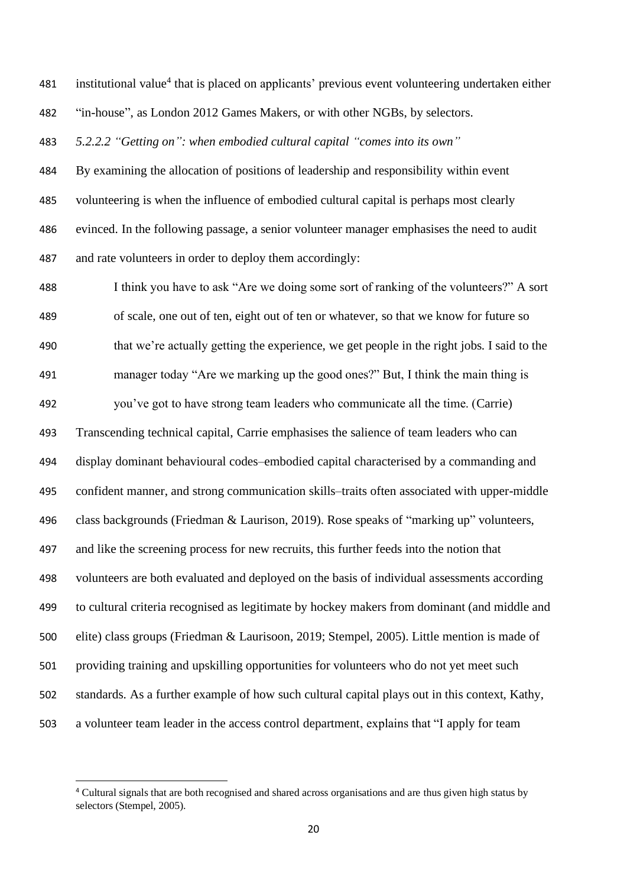481 institutional value<sup>4</sup> that is placed on applicants' previous event volunteering undertaken either "in-house", as London 2012 Games Makers, or with other NGBs, by selectors.

*5.2.2.2 "Getting on": when embodied cultural capital "comes into its own"*

 By examining the allocation of positions of leadership and responsibility within event volunteering is when the influence of embodied cultural capital is perhaps most clearly evinced. In the following passage, a senior volunteer manager emphasises the need to audit and rate volunteers in order to deploy them accordingly:

488 I think you have to ask "Are we doing some sort of ranking of the volunteers?" A sort of scale, one out of ten, eight out of ten or whatever, so that we know for future so that we're actually getting the experience, we get people in the right jobs. I said to the manager today "Are we marking up the good ones?" But, I think the main thing is you've got to have strong team leaders who communicate all the time. (Carrie) Transcending technical capital, Carrie emphasises the salience of team leaders who can display dominant behavioural codes–embodied capital characterised by a commanding and confident manner, and strong communication skills–traits often associated with upper-middle class backgrounds (Friedman & Laurison, 2019). Rose speaks of "marking up" volunteers, and like the screening process for new recruits, this further feeds into the notion that volunteers are both evaluated and deployed on the basis of individual assessments according to cultural criteria recognised as legitimate by hockey makers from dominant (and middle and elite) class groups (Friedman & Laurisoon, 2019; Stempel, 2005). Little mention is made of providing training and upskilling opportunities for volunteers who do not yet meet such standards. As a further example of how such cultural capital plays out in this context, Kathy, a volunteer team leader in the access control department, explains that "I apply for team

 Cultural signals that are both recognised and shared across organisations and are thus given high status by selectors (Stempel, 2005).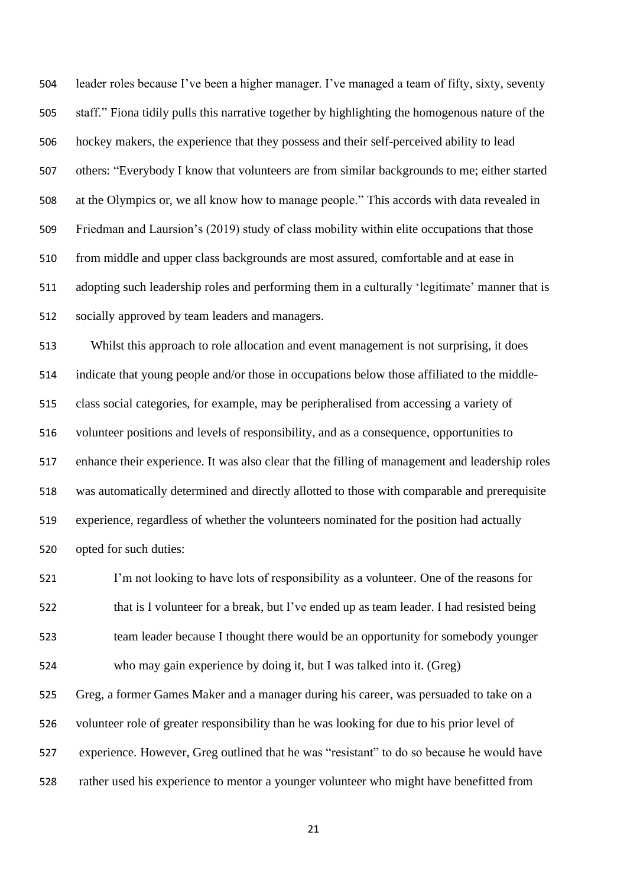leader roles because I've been a higher manager. I've managed a team of fifty, sixty, seventy staff." Fiona tidily pulls this narrative together by highlighting the homogenous nature of the hockey makers, the experience that they possess and their self-perceived ability to lead others: "Everybody I know that volunteers are from similar backgrounds to me; either started at the Olympics or, we all know how to manage people." This accords with data revealed in Friedman and Laursion's (2019) study of class mobility within elite occupations that those from middle and upper class backgrounds are most assured, comfortable and at ease in adopting such leadership roles and performing them in a culturally 'legitimate' manner that is socially approved by team leaders and managers.

 Whilst this approach to role allocation and event management is not surprising, it does indicate that young people and/or those in occupations below those affiliated to the middle- class social categories, for example, may be peripheralised from accessing a variety of volunteer positions and levels of responsibility, and as a consequence, opportunities to enhance their experience. It was also clear that the filling of management and leadership roles was automatically determined and directly allotted to those with comparable and prerequisite experience, regardless of whether the volunteers nominated for the position had actually opted for such duties:

 I'm not looking to have lots of responsibility as a volunteer. One of the reasons for that is I volunteer for a break, but I've ended up as team leader. I had resisted being team leader because I thought there would be an opportunity for somebody younger who may gain experience by doing it, but I was talked into it. (Greg) Greg, a former Games Maker and a manager during his career, was persuaded to take on a volunteer role of greater responsibility than he was looking for due to his prior level of experience. However, Greg outlined that he was "resistant" to do so because he would have rather used his experience to mentor a younger volunteer who might have benefitted from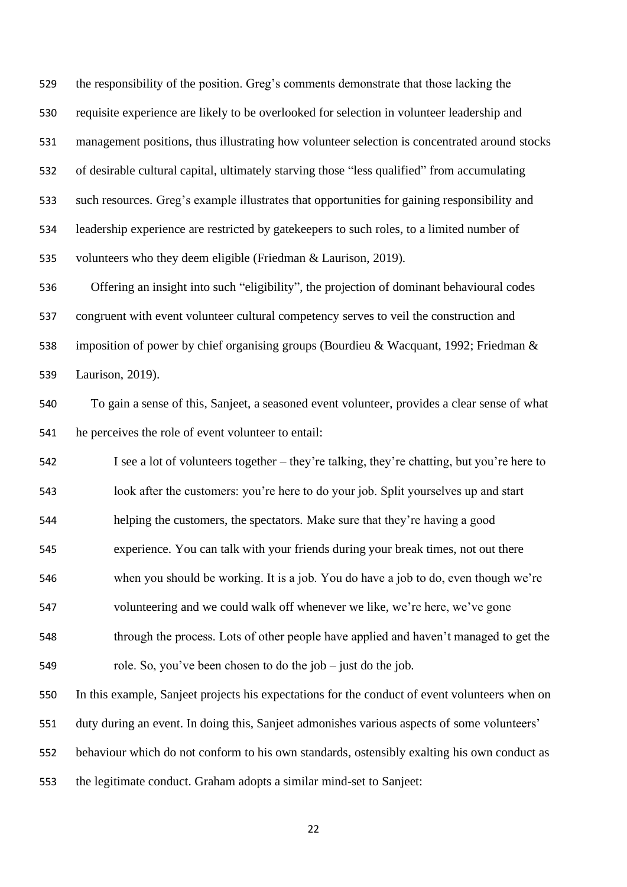the responsibility of the position. Greg's comments demonstrate that those lacking the requisite experience are likely to be overlooked for selection in volunteer leadership and management positions, thus illustrating how volunteer selection is concentrated around stocks of desirable cultural capital, ultimately starving those "less qualified" from accumulating such resources. Greg's example illustrates that opportunities for gaining responsibility and leadership experience are restricted by gatekeepers to such roles, to a limited number of volunteers who they deem eligible (Friedman & Laurison, 2019).

 Offering an insight into such "eligibility", the projection of dominant behavioural codes congruent with event volunteer cultural competency serves to veil the construction and imposition of power by chief organising groups (Bourdieu & Wacquant, 1992; Friedman & Laurison, 2019).

 To gain a sense of this, Sanjeet, a seasoned event volunteer, provides a clear sense of what he perceives the role of event volunteer to entail:

 I see a lot of volunteers together – they're talking, they're chatting, but you're here to look after the customers: you're here to do your job. Split yourselves up and start helping the customers, the spectators. Make sure that they're having a good experience. You can talk with your friends during your break times, not out there when you should be working. It is a job. You do have a job to do, even though we're

volunteering and we could walk off whenever we like, we're here, we've gone

through the process. Lots of other people have applied and haven't managed to get the

role. So, you've been chosen to do the job – just do the job.

In this example, Sanjeet projects his expectations for the conduct of event volunteers when on

duty during an event. In doing this, Sanjeet admonishes various aspects of some volunteers'

behaviour which do not conform to his own standards, ostensibly exalting his own conduct as

the legitimate conduct. Graham adopts a similar mind-set to Sanjeet: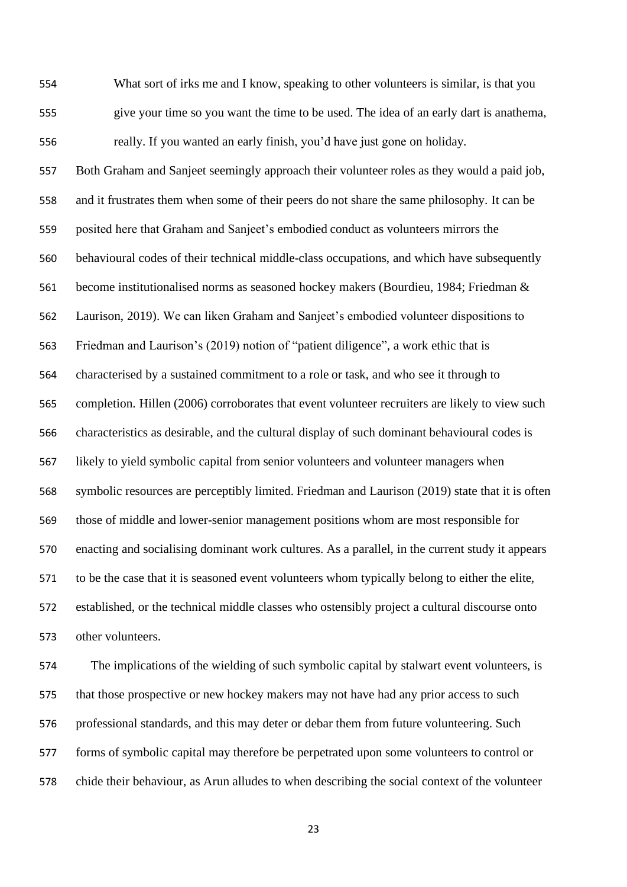What sort of irks me and I know, speaking to other volunteers is similar, is that you give your time so you want the time to be used. The idea of an early dart is anathema, really. If you wanted an early finish, you'd have just gone on holiday. Both Graham and Sanjeet seemingly approach their volunteer roles as they would a paid job, and it frustrates them when some of their peers do not share the same philosophy. It can be posited here that Graham and Sanjeet's embodied conduct as volunteers mirrors the behavioural codes of their technical middle-class occupations, and which have subsequently become institutionalised norms as seasoned hockey makers (Bourdieu, 1984; Friedman & Laurison, 2019). We can liken Graham and Sanjeet's embodied volunteer dispositions to Friedman and Laurison's (2019) notion of "patient diligence", a work ethic that is characterised by a sustained commitment to a role or task, and who see it through to completion. Hillen (2006) corroborates that event volunteer recruiters are likely to view such characteristics as desirable, and the cultural display of such dominant behavioural codes is likely to yield symbolic capital from senior volunteers and volunteer managers when symbolic resources are perceptibly limited. Friedman and Laurison (2019) state that it is often those of middle and lower-senior management positions whom are most responsible for enacting and socialising dominant work cultures. As a parallel, in the current study it appears to be the case that it is seasoned event volunteers whom typically belong to either the elite, established, or the technical middle classes who ostensibly project a cultural discourse onto other volunteers. The implications of the wielding of such symbolic capital by stalwart event volunteers, is

 that those prospective or new hockey makers may not have had any prior access to such professional standards, and this may deter or debar them from future volunteering. Such forms of symbolic capital may therefore be perpetrated upon some volunteers to control or chide their behaviour, as Arun alludes to when describing the social context of the volunteer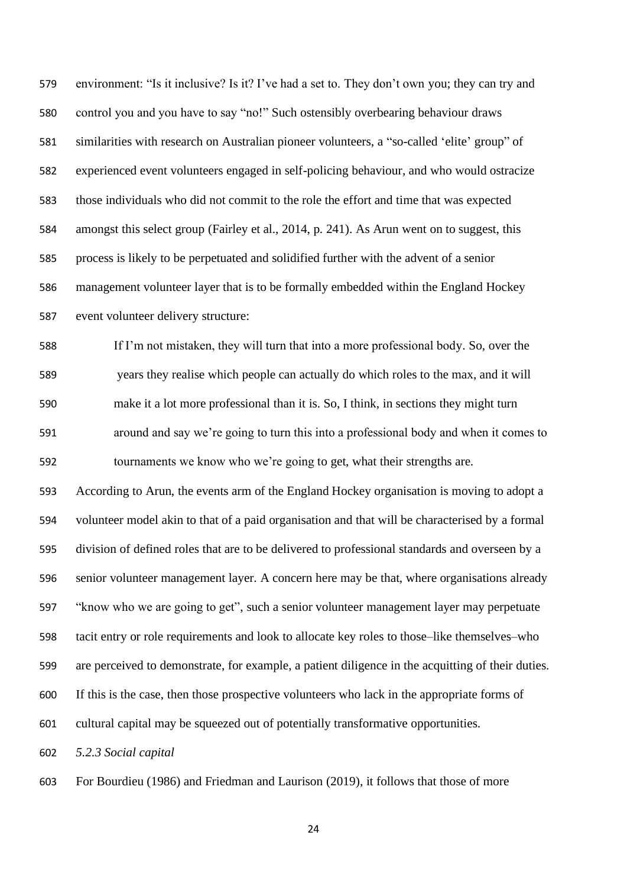environment: "Is it inclusive? Is it? I've had a set to. They don't own you; they can try and control you and you have to say "no!" Such ostensibly overbearing behaviour draws similarities with research on Australian pioneer volunteers, a "so-called 'elite' group" of experienced event volunteers engaged in self-policing behaviour, and who would ostracize those individuals who did not commit to the role the effort and time that was expected amongst this select group (Fairley et al., 2014, p. 241). As Arun went on to suggest, this process is likely to be perpetuated and solidified further with the advent of a senior management volunteer layer that is to be formally embedded within the England Hockey event volunteer delivery structure:

 If I'm not mistaken, they will turn that into a more professional body. So, over the years they realise which people can actually do which roles to the max, and it will make it a lot more professional than it is. So, I think, in sections they might turn around and say we're going to turn this into a professional body and when it comes to tournaments we know who we're going to get, what their strengths are.

 According to Arun, the events arm of the England Hockey organisation is moving to adopt a volunteer model akin to that of a paid organisation and that will be characterised by a formal division of defined roles that are to be delivered to professional standards and overseen by a senior volunteer management layer. A concern here may be that, where organisations already "know who we are going to get", such a senior volunteer management layer may perpetuate tacit entry or role requirements and look to allocate key roles to those–like themselves–who are perceived to demonstrate, for example, a patient diligence in the acquitting of their duties. If this is the case, then those prospective volunteers who lack in the appropriate forms of cultural capital may be squeezed out of potentially transformative opportunities.

*5.2.3 Social capital*

For Bourdieu (1986) and Friedman and Laurison (2019), it follows that those of more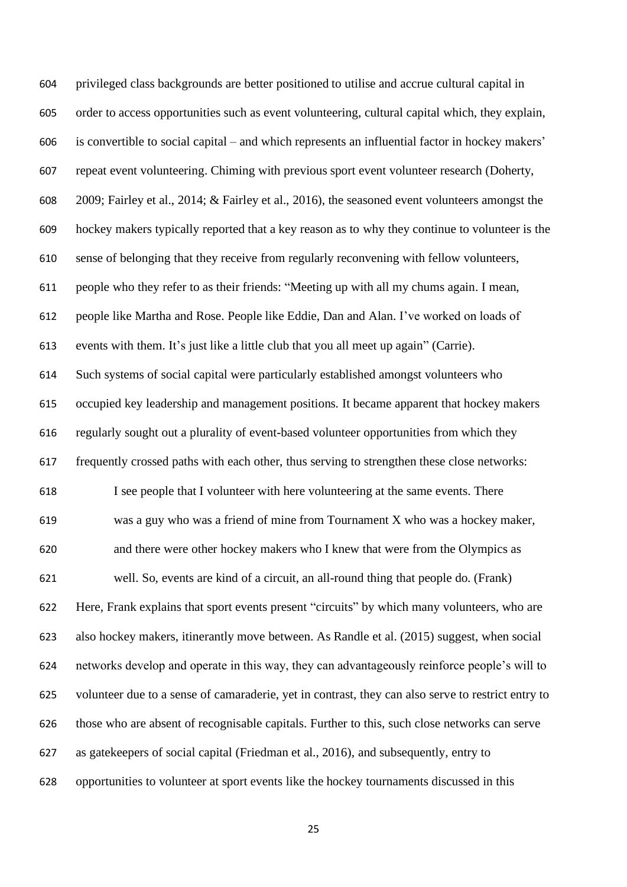privileged class backgrounds are better positioned to utilise and accrue cultural capital in order to access opportunities such as event volunteering, cultural capital which, they explain, is convertible to social capital – and which represents an influential factor in hockey makers' repeat event volunteering. Chiming with previous sport event volunteer research (Doherty, 2009; Fairley et al., 2014; & Fairley et al., 2016), the seasoned event volunteers amongst the hockey makers typically reported that a key reason as to why they continue to volunteer is the sense of belonging that they receive from regularly reconvening with fellow volunteers, people who they refer to as their friends: "Meeting up with all my chums again. I mean, people like Martha and Rose. People like Eddie, Dan and Alan. I've worked on loads of events with them. It's just like a little club that you all meet up again" (Carrie). Such systems of social capital were particularly established amongst volunteers who occupied key leadership and management positions. It became apparent that hockey makers regularly sought out a plurality of event-based volunteer opportunities from which they frequently crossed paths with each other, thus serving to strengthen these close networks: I see people that I volunteer with here volunteering at the same events. There was a guy who was a friend of mine from Tournament X who was a hockey maker, and there were other hockey makers who I knew that were from the Olympics as well. So, events are kind of a circuit, an all-round thing that people do. (Frank) Here, Frank explains that sport events present "circuits" by which many volunteers, who are also hockey makers, itinerantly move between. As Randle et al. (2015) suggest, when social networks develop and operate in this way, they can advantageously reinforce people's will to volunteer due to a sense of camaraderie, yet in contrast, they can also serve to restrict entry to those who are absent of recognisable capitals. Further to this, such close networks can serve as gatekeepers of social capital (Friedman et al., 2016), and subsequently, entry to opportunities to volunteer at sport events like the hockey tournaments discussed in this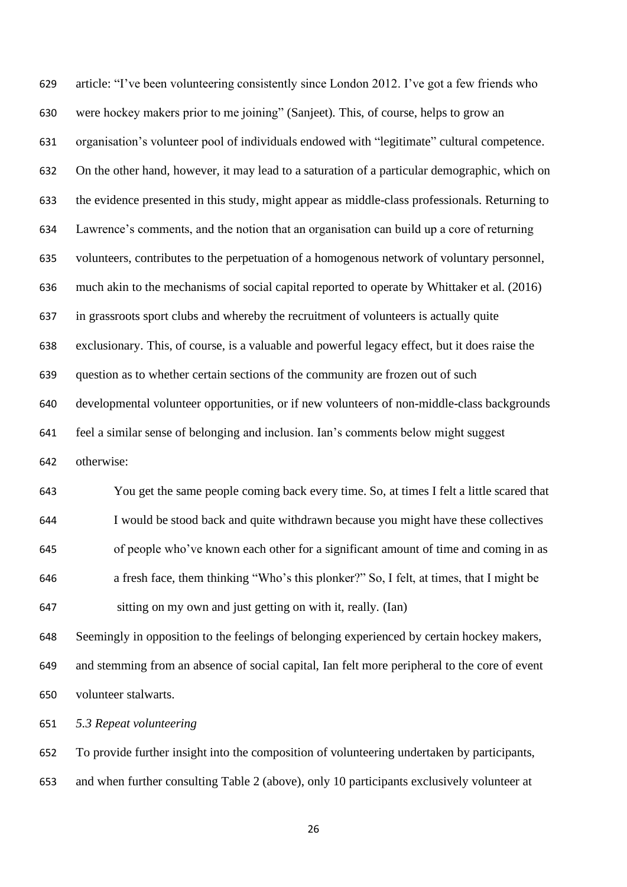article: "I've been volunteering consistently since London 2012. I've got a few friends who were hockey makers prior to me joining" (Sanjeet). This, of course, helps to grow an organisation's volunteer pool of individuals endowed with "legitimate" cultural competence. On the other hand, however, it may lead to a saturation of a particular demographic, which on the evidence presented in this study, might appear as middle-class professionals. Returning to Lawrence's comments, and the notion that an organisation can build up a core of returning volunteers, contributes to the perpetuation of a homogenous network of voluntary personnel, much akin to the mechanisms of social capital reported to operate by Whittaker et al. (2016) in grassroots sport clubs and whereby the recruitment of volunteers is actually quite exclusionary. This, of course, is a valuable and powerful legacy effect, but it does raise the question as to whether certain sections of the community are frozen out of such developmental volunteer opportunities, or if new volunteers of non-middle-class backgrounds feel a similar sense of belonging and inclusion. Ian's comments below might suggest otherwise:

 You get the same people coming back every time. So, at times I felt a little scared that I would be stood back and quite withdrawn because you might have these collectives of people who've known each other for a significant amount of time and coming in as a fresh face, them thinking "Who's this plonker?" So, I felt, at times, that I might be sitting on my own and just getting on with it, really. (Ian)

 Seemingly in opposition to the feelings of belonging experienced by certain hockey makers, and stemming from an absence of social capital, Ian felt more peripheral to the core of event volunteer stalwarts.

*5.3 Repeat volunteering*

 To provide further insight into the composition of volunteering undertaken by participants, and when further consulting Table 2 (above), only 10 participants exclusively volunteer at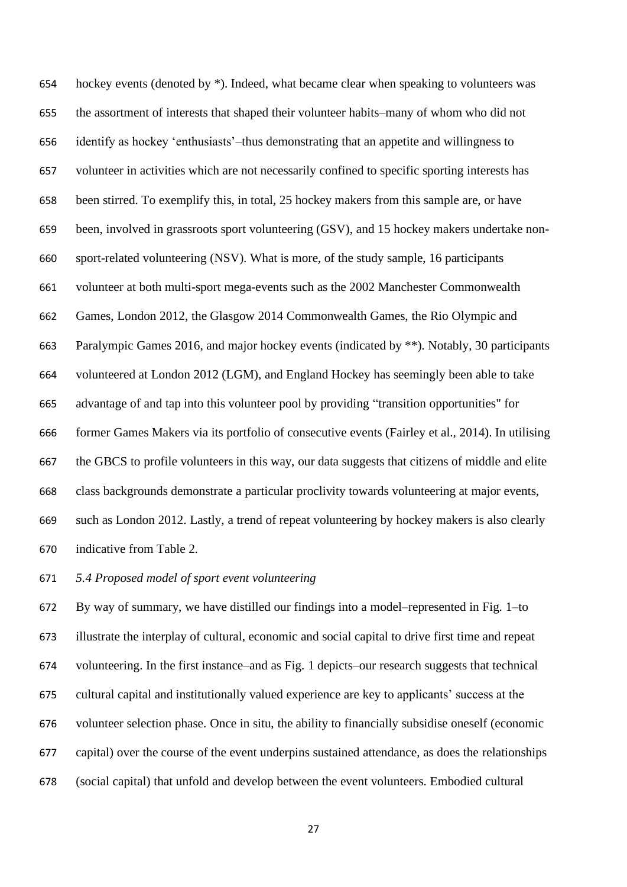hockey events (denoted by \*). Indeed, what became clear when speaking to volunteers was the assortment of interests that shaped their volunteer habits–many of whom who did not identify as hockey 'enthusiasts'–thus demonstrating that an appetite and willingness to volunteer in activities which are not necessarily confined to specific sporting interests has been stirred. To exemplify this, in total, 25 hockey makers from this sample are, or have been, involved in grassroots sport volunteering (GSV), and 15 hockey makers undertake non- sport-related volunteering (NSV). What is more, of the study sample, 16 participants volunteer at both multi-sport mega-events such as the 2002 Manchester Commonwealth Games, London 2012, the Glasgow 2014 Commonwealth Games, the Rio Olympic and Paralympic Games 2016, and major hockey events (indicated by \*\*). Notably, 30 participants volunteered at London 2012 (LGM), and England Hockey has seemingly been able to take advantage of and tap into this volunteer pool by providing "transition opportunities" for former Games Makers via its portfolio of consecutive events (Fairley et al., 2014). In utilising the GBCS to profile volunteers in this way, our data suggests that citizens of middle and elite class backgrounds demonstrate a particular proclivity towards volunteering at major events, such as London 2012. Lastly, a trend of repeat volunteering by hockey makers is also clearly indicative from Table 2.

*5.4 Proposed model of sport event volunteering*

 By way of summary, we have distilled our findings into a model–represented in Fig. 1–to illustrate the interplay of cultural, economic and social capital to drive first time and repeat volunteering. In the first instance–and as Fig. 1 depicts–our research suggests that technical cultural capital and institutionally valued experience are key to applicants' success at the volunteer selection phase. Once in situ, the ability to financially subsidise oneself (economic capital) over the course of the event underpins sustained attendance, as does the relationships (social capital) that unfold and develop between the event volunteers. Embodied cultural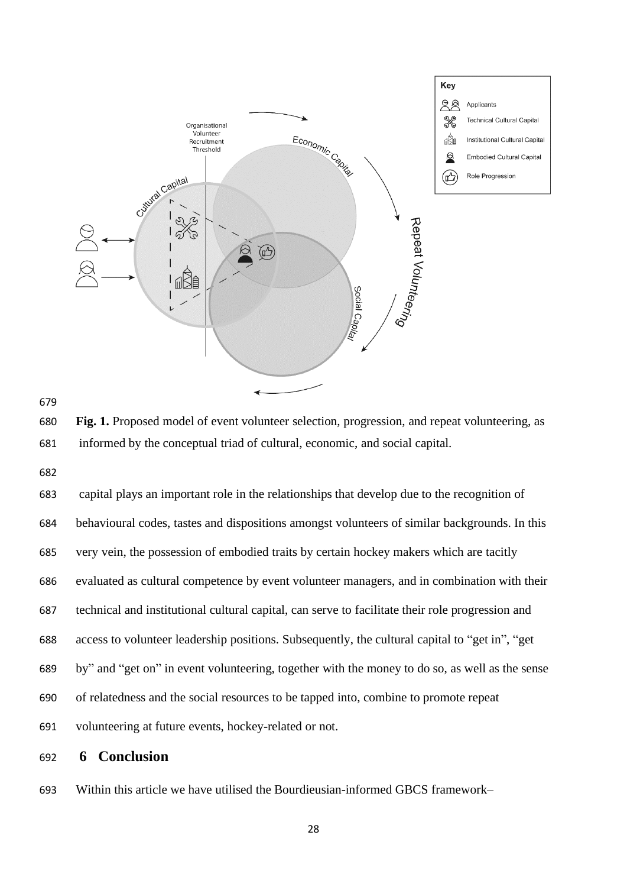



 **Fig. 1.** Proposed model of event volunteer selection, progression, and repeat volunteering, as informed by the conceptual triad of cultural, economic, and social capital.

 capital plays an important role in the relationships that develop due to the recognition of behavioural codes, tastes and dispositions amongst volunteers of similar backgrounds. In this very vein, the possession of embodied traits by certain hockey makers which are tacitly evaluated as cultural competence by event volunteer managers, and in combination with their technical and institutional cultural capital, can serve to facilitate their role progression and access to volunteer leadership positions. Subsequently, the cultural capital to "get in", "get by" and "get on" in event volunteering, together with the money to do so, as well as the sense of relatedness and the social resources to be tapped into, combine to promote repeat volunteering at future events, hockey-related or not.

# **6 Conclusion**

Within this article we have utilised the Bourdieusian-informed GBCS framework–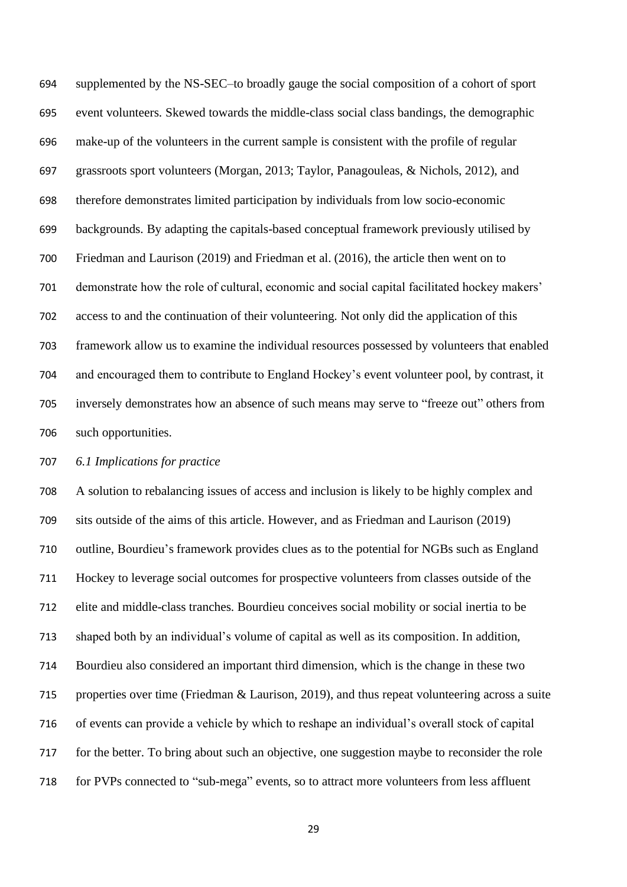supplemented by the NS-SEC–to broadly gauge the social composition of a cohort of sport event volunteers. Skewed towards the middle-class social class bandings, the demographic make-up of the volunteers in the current sample is consistent with the profile of regular grassroots sport volunteers (Morgan, 2013; Taylor, Panagouleas, & Nichols, 2012), and therefore demonstrates limited participation by individuals from low socio-economic backgrounds. By adapting the capitals-based conceptual framework previously utilised by Friedman and Laurison (2019) and Friedman et al. (2016), the article then went on to demonstrate how the role of cultural, economic and social capital facilitated hockey makers' access to and the continuation of their volunteering. Not only did the application of this framework allow us to examine the individual resources possessed by volunteers that enabled and encouraged them to contribute to England Hockey's event volunteer pool, by contrast, it inversely demonstrates how an absence of such means may serve to "freeze out" others from such opportunities.

#### *6.1 Implications for practice*

 A solution to rebalancing issues of access and inclusion is likely to be highly complex and sits outside of the aims of this article. However, and as Friedman and Laurison (2019) outline, Bourdieu's framework provides clues as to the potential for NGBs such as England Hockey to leverage social outcomes for prospective volunteers from classes outside of the elite and middle-class tranches. Bourdieu conceives social mobility or social inertia to be shaped both by an individual's volume of capital as well as its composition. In addition, Bourdieu also considered an important third dimension, which is the change in these two properties over time (Friedman & Laurison, 2019), and thus repeat volunteering across a suite of events can provide a vehicle by which to reshape an individual's overall stock of capital for the better. To bring about such an objective, one suggestion maybe to reconsider the role for PVPs connected to "sub-mega" events, so to attract more volunteers from less affluent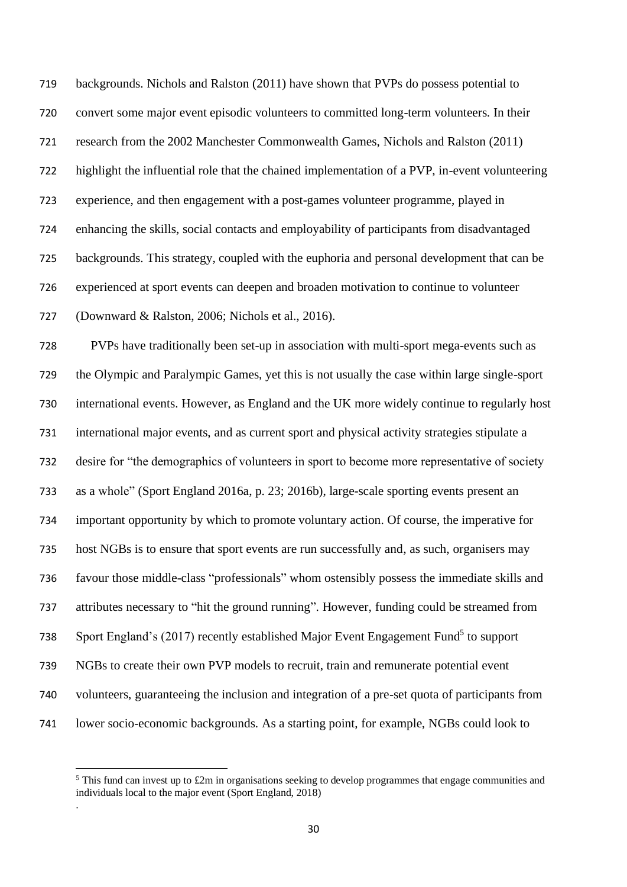backgrounds. Nichols and Ralston (2011) have shown that PVPs do possess potential to convert some major event episodic volunteers to committed long-term volunteers. In their research from the 2002 Manchester Commonwealth Games, Nichols and Ralston (2011) highlight the influential role that the chained implementation of a PVP, in-event volunteering experience, and then engagement with a post-games volunteer programme, played in enhancing the skills, social contacts and employability of participants from disadvantaged backgrounds. This strategy, coupled with the euphoria and personal development that can be experienced at sport events can deepen and broaden motivation to continue to volunteer (Downward & Ralston, 2006; Nichols et al., 2016).

 PVPs have traditionally been set-up in association with multi-sport mega-events such as the Olympic and Paralympic Games, yet this is not usually the case within large single-sport international events. However, as England and the UK more widely continue to regularly host international major events, and as current sport and physical activity strategies stipulate a desire for "the demographics of volunteers in sport to become more representative of society as a whole" (Sport England 2016a, p. 23; 2016b), large-scale sporting events present an important opportunity by which to promote voluntary action. Of course, the imperative for host NGBs is to ensure that sport events are run successfully and, as such, organisers may favour those middle-class "professionals" whom ostensibly possess the immediate skills and attributes necessary to "hit the ground running". However, funding could be streamed from 738 Sport England's (2017) recently established Major Event Engagement Fund<sup>5</sup> to support NGBs to create their own PVP models to recruit, train and remunerate potential event volunteers, guaranteeing the inclusion and integration of a pre-set quota of participants from lower socio-economic backgrounds. As a starting point, for example, NGBs could look to

.

<sup>&</sup>lt;sup>5</sup> This fund can invest up to £2m in organisations seeking to develop programmes that engage communities and individuals local to the major event (Sport England, 2018)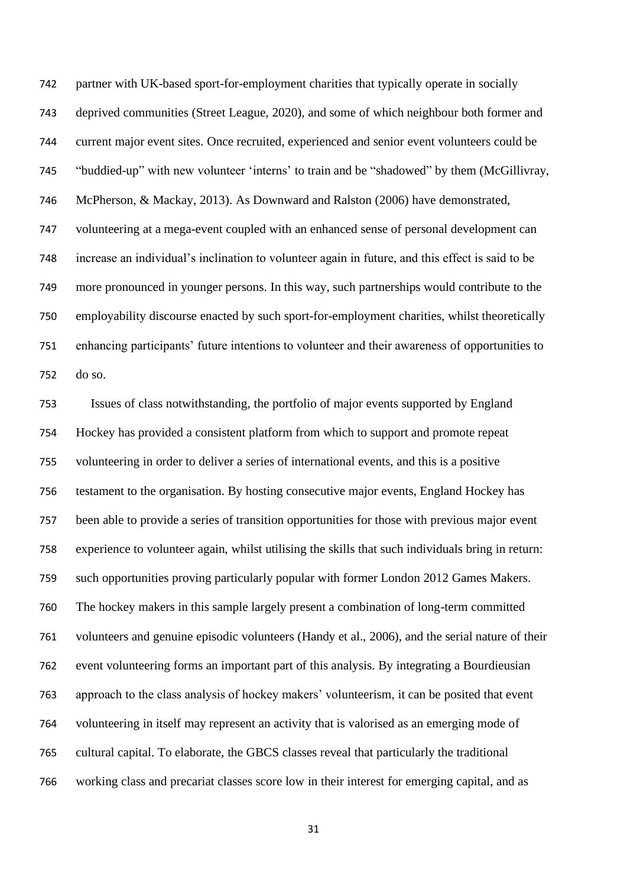partner with UK-based sport-for-employment charities that typically operate in socially deprived communities (Street League, 2020), and some of which neighbour both former and current major event sites. Once recruited, experienced and senior event volunteers could be "buddied-up" with new volunteer 'interns' to train and be "shadowed" by them (McGillivray, McPherson, & Mackay, 2013). As Downward and Ralston (2006) have demonstrated, volunteering at a mega-event coupled with an enhanced sense of personal development can increase an individual's inclination to volunteer again in future, and this effect is said to be more pronounced in younger persons. In this way, such partnerships would contribute to the employability discourse enacted by such sport-for-employment charities, whilst theoretically enhancing participants' future intentions to volunteer and their awareness of opportunities to do so.

 Issues of class notwithstanding, the portfolio of major events supported by England Hockey has provided a consistent platform from which to support and promote repeat volunteering in order to deliver a series of international events, and this is a positive testament to the organisation. By hosting consecutive major events, England Hockey has been able to provide a series of transition opportunities for those with previous major event experience to volunteer again, whilst utilising the skills that such individuals bring in return: such opportunities proving particularly popular with former London 2012 Games Makers. The hockey makers in this sample largely present a combination of long-term committed volunteers and genuine episodic volunteers (Handy et al., 2006), and the serial nature of their event volunteering forms an important part of this analysis. By integrating a Bourdieusian approach to the class analysis of hockey makers' volunteerism, it can be posited that event volunteering in itself may represent an activity that is valorised as an emerging mode of cultural capital. To elaborate, the GBCS classes reveal that particularly the traditional working class and precariat classes score low in their interest for emerging capital, and as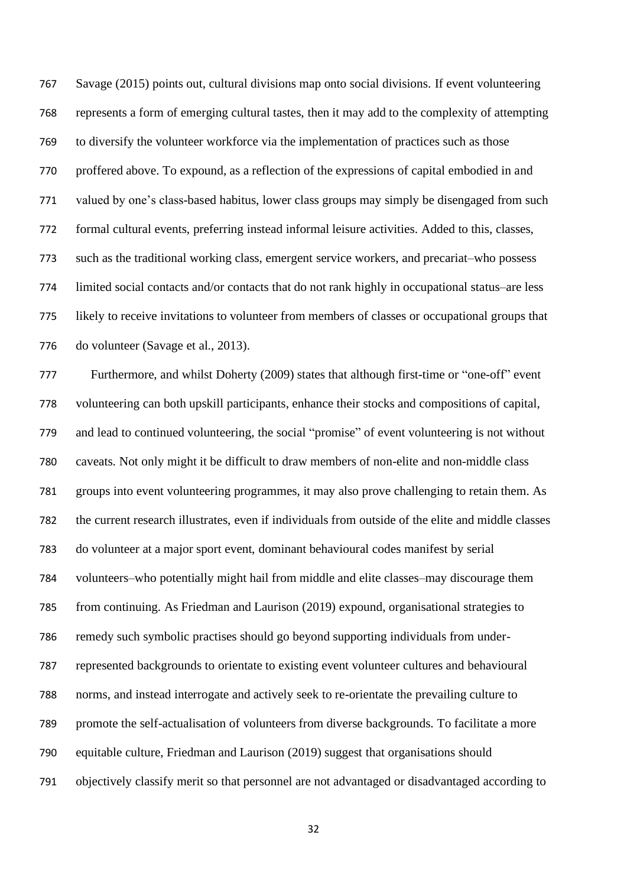Savage (2015) points out, cultural divisions map onto social divisions. If event volunteering represents a form of emerging cultural tastes, then it may add to the complexity of attempting to diversify the volunteer workforce via the implementation of practices such as those proffered above. To expound, as a reflection of the expressions of capital embodied in and valued by one's class-based habitus, lower class groups may simply be disengaged from such formal cultural events, preferring instead informal leisure activities. Added to this, classes, such as the traditional working class, emergent service workers, and precariat–who possess limited social contacts and/or contacts that do not rank highly in occupational status–are less likely to receive invitations to volunteer from members of classes or occupational groups that do volunteer (Savage et al., 2013).

 Furthermore, and whilst Doherty (2009) states that although first-time or "one-off" event volunteering can both upskill participants, enhance their stocks and compositions of capital, and lead to continued volunteering, the social "promise" of event volunteering is not without caveats. Not only might it be difficult to draw members of non-elite and non-middle class groups into event volunteering programmes, it may also prove challenging to retain them. As the current research illustrates, even if individuals from outside of the elite and middle classes do volunteer at a major sport event, dominant behavioural codes manifest by serial volunteers–who potentially might hail from middle and elite classes–may discourage them from continuing. As Friedman and Laurison (2019) expound, organisational strategies to remedy such symbolic practises should go beyond supporting individuals from under- represented backgrounds to orientate to existing event volunteer cultures and behavioural norms, and instead interrogate and actively seek to re-orientate the prevailing culture to promote the self-actualisation of volunteers from diverse backgrounds. To facilitate a more equitable culture, Friedman and Laurison (2019) suggest that organisations should objectively classify merit so that personnel are not advantaged or disadvantaged according to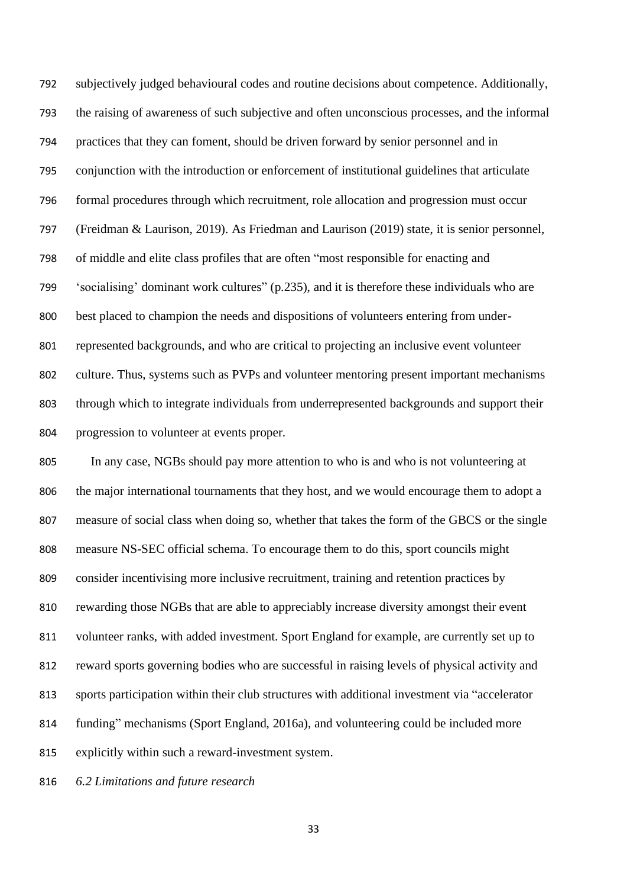subjectively judged behavioural codes and routine decisions about competence. Additionally, the raising of awareness of such subjective and often unconscious processes, and the informal practices that they can foment, should be driven forward by senior personnel and in conjunction with the introduction or enforcement of institutional guidelines that articulate formal procedures through which recruitment, role allocation and progression must occur (Freidman & Laurison, 2019). As Friedman and Laurison (2019) state, it is senior personnel, of middle and elite class profiles that are often "most responsible for enacting and 'socialising' dominant work cultures" (p.235), and it is therefore these individuals who are best placed to champion the needs and dispositions of volunteers entering from under- represented backgrounds, and who are critical to projecting an inclusive event volunteer culture. Thus, systems such as PVPs and volunteer mentoring present important mechanisms through which to integrate individuals from underrepresented backgrounds and support their progression to volunteer at events proper.

 In any case, NGBs should pay more attention to who is and who is not volunteering at the major international tournaments that they host, and we would encourage them to adopt a measure of social class when doing so, whether that takes the form of the GBCS or the single measure NS-SEC official schema. To encourage them to do this, sport councils might consider incentivising more inclusive recruitment, training and retention practices by rewarding those NGBs that are able to appreciably increase diversity amongst their event volunteer ranks, with added investment. Sport England for example, are currently set up to reward sports governing bodies who are successful in raising levels of physical activity and sports participation within their club structures with additional investment via "accelerator funding" mechanisms (Sport England, 2016a), and volunteering could be included more explicitly within such a reward-investment system.

*6.2 Limitations and future research*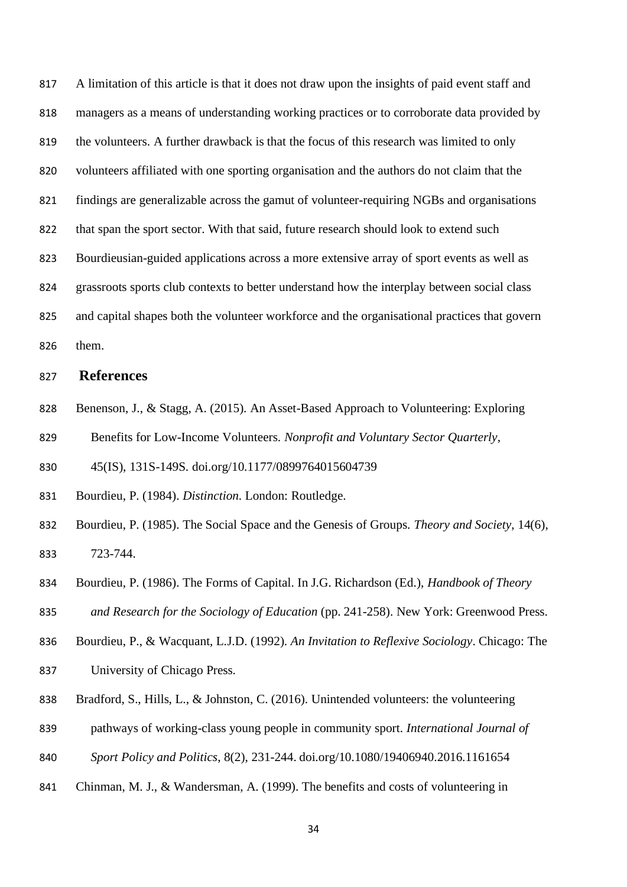A limitation of this article is that it does not draw upon the insights of paid event staff and managers as a means of understanding working practices or to corroborate data provided by the volunteers. A further drawback is that the focus of this research was limited to only volunteers affiliated with one sporting organisation and the authors do not claim that the findings are generalizable across the gamut of volunteer-requiring NGBs and organisations that span the sport sector. With that said, future research should look to extend such Bourdieusian-guided applications across a more extensive array of sport events as well as grassroots sports club contexts to better understand how the interplay between social class and capital shapes both the volunteer workforce and the organisational practices that govern them.

### **References**

- Benenson, J., & Stagg, A. (2015). An Asset-Based Approach to Volunteering: Exploring
- Benefits for Low-Income Volunteers. *Nonprofit and Voluntary Sector Quarterly*,

45(IS), 131S-149S. doi.org/10.1177/0899764015604739

- Bourdieu, P. (1984). *Distinction.* London: Routledge.
- Bourdieu, P. (1985). The Social Space and the Genesis of Groups. *Theory and Society*, 14(6), 723-744.
- Bourdieu, P. (1986). The Forms of Capital. In J.G. Richardson (Ed.), *Handbook of Theory*

*and Research for the Sociology of Education* (pp. 241-258). New York: Greenwood Press.

- Bourdieu, P., & Wacquant, L.J.D. (1992). *An Invitation to Reflexive Sociology*. Chicago: The University of Chicago Press.
- Bradford, S., Hills, L., & Johnston, C. (2016). Unintended volunteers: the volunteering
- pathways of working-class young people in community sport. *International Journal of*
- *Sport Policy and Politics*, 8(2), 231-244. doi.org/10.1080/19406940.2016.1161654
- Chinman, M. J., & Wandersman, A. (1999). The benefits and costs of volunteering in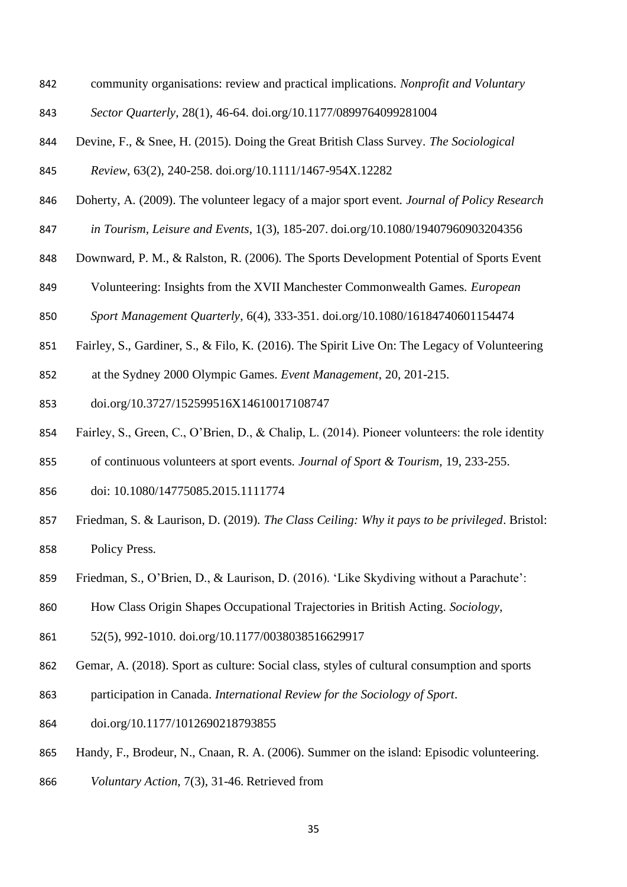- community organisations: review and practical implications. *Nonprofit and Voluntary*
- *Sector Quarterly*, 28(1), 46-64. doi.org/10.1177/0899764099281004
- Devine, F., & Snee, H. (2015). Doing the Great British Class Survey. *The Sociological*

*Review*, 63(2), 240-258. doi.org/10.1111/1467-954X.12282

- Doherty, A. (2009). The volunteer legacy of a major sport event. *Journal of Policy Research*
- *in Tourism, Leisure and Events*, 1(3), 185-207. doi.org/10.1080/19407960903204356
- 848 Downward, P. M., & Ralston, R. (2006). The Sports Development Potential of Sports Event
- Volunteering: Insights from the XVII Manchester Commonwealth Games. *European*
- *Sport Management Quarterly*, 6(4), 333-351. doi.org/10.1080/16184740601154474
- Fairley, S., Gardiner, S., & Filo, K. (2016). The Spirit Live On: The Legacy of Volunteering
- at the Sydney 2000 Olympic Games. *Event Management*, 20, 201-215.
- doi.org/10.3727/152599516X14610017108747
- 854 Fairley, S., Green, C., O'Brien, D., & Chalip, L. (2014). Pioneer volunteers: the role identity
- of continuous volunteers at sport events. *Journal of Sport & Tourism*, 19, 233-255.
- doi: 10.1080/14775085.2015.1111774
- Friedman, S. & Laurison, D. (2019). *The Class Ceiling: Why it pays to be privileged*. Bristol: Policy Press.
- Friedman, S., O'Brien, D., & Laurison, D. (2016). 'Like Skydiving without a Parachute':
- How Class Origin Shapes Occupational Trajectories in British Acting. *Sociology*,
- 52(5), 992-1010. doi.org/10.1177/0038038516629917
- Gemar, A. (2018). Sport as culture: Social class, styles of cultural consumption and sports
- participation in Canada. *International Review for the Sociology of Sport*.
- doi.org/10.1177/1012690218793855
- 865 Handy, F., Brodeur, N., Cnaan, R. A. (2006). Summer on the island: Episodic volunteering.
- *Voluntary Action*, 7(3), 31-46. Retrieved from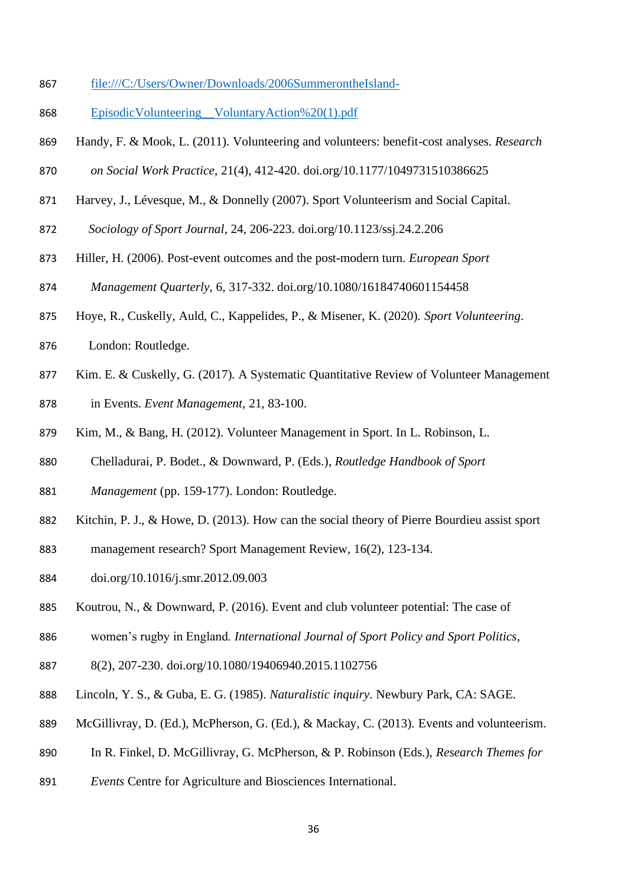- [file:///C:/Users/Owner/Downloads/2006SummerontheIsland-](file:///C:/Users/Owner/Downloads/2006SummerontheIsland-EpisodicVolunteering__VoluntaryAction%20(1).pdf)
- [EpisodicVolunteering\\_\\_VoluntaryAction%20\(1\).pdf](file:///C:/Users/Owner/Downloads/2006SummerontheIsland-EpisodicVolunteering__VoluntaryAction%20(1).pdf)
- Handy, F. & Mook, L. (2011). Volunteering and volunteers: benefit-cost analyses. *Research*
- *on Social Work Practice*, 21(4), 412-420. doi.org/10.1177/1049731510386625
- 871 Harvey, J., Lévesque, M., & Donnelly (2007). Sport Volunteerism and Social Capital.
- *Sociology of Sport Journal*, 24, 206-223. doi.org/10.1123/ssj.24.2.206
- Hiller, H. (2006). Post-event outcomes and the post-modern turn. *European Sport*
- *Management Quarterly*, 6, 317-332. doi.org/10.1080/16184740601154458
- Hoye, R., Cuskelly, Auld, C., Kappelides, P., & Misener, K. (2020). *Sport Volunteering*.
- London: Routledge.
- Kim. E. & Cuskelly, G. (2017). A Systematic Quantitative Review of Volunteer Management in Events. *Event Management*, 21, 83-100.
- Kim, M., & Bang, H. (2012). Volunteer Management in Sport. In L. Robinson, L.
- Chelladurai, P. Bodet., & Downward, P. (Eds.), *Routledge Handbook of Sport*
- *Management* (pp. 159-177). London: Routledge.
- Kitchin, P. J., & Howe, D. (2013). How can the social theory of Pierre Bourdieu assist sport
- management research? Sport Management Review, 16(2), 123-134.
- doi.org/10.1016/j.smr.2012.09.003
- Koutrou, N., & Downward, P. (2016). Event and club volunteer potential: The case of
- women's rugby in England. *International Journal of Sport Policy and Sport Politics*,
- 8(2), 207-230. doi.org/10.1080/19406940.2015.1102756
- Lincoln, Y. S., & Guba, E. G. (1985). *Naturalistic inquiry*. Newbury Park, CA: SAGE.
- McGillivray, D. (Ed.), McPherson, G. (Ed.), & Mackay, C. (2013). Events and volunteerism.
- In R. Finkel, D. McGillivray, G. McPherson, & P. Robinson (Eds.), *Research Themes for*
- *Events* Centre for Agriculture and Biosciences International.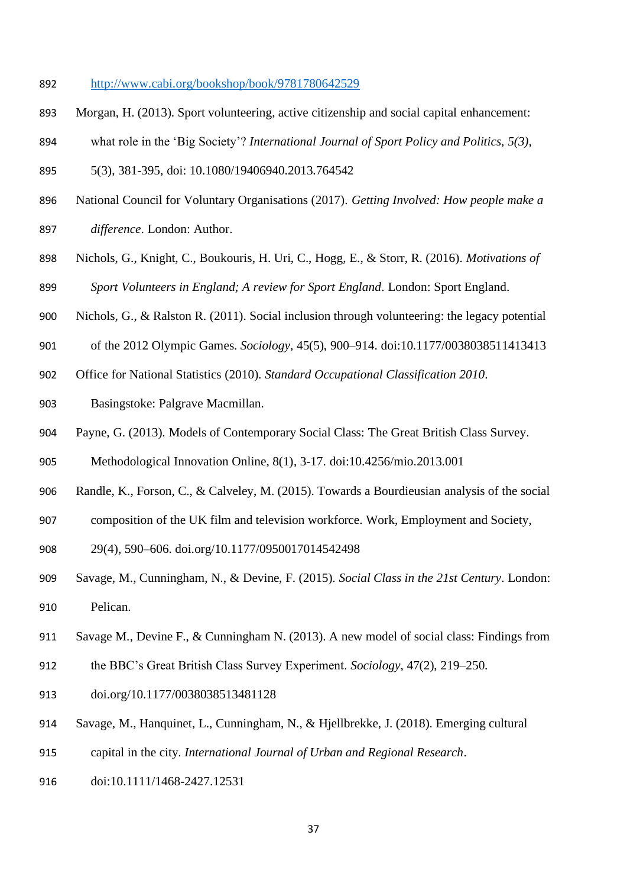#### <http://www.cabi.org/bookshop/book/9781780642529>

- Morgan, H. (2013). Sport volunteering, active citizenship and social capital enhancement:
- what role in the 'Big Society'? *International Journal of Sport Policy and Politics, 5(3),*
- 5(3), 381-395, doi: 10.1080/19406940.2013.764542
- National Council for Voluntary Organisations (2017). *Getting Involved: How people make a*
- *difference*. London: Author.
- Nichols, G., Knight, C., Boukouris, H. Uri, C., Hogg, E., & Storr, R. (2016). *Motivations of Sport Volunteers in England; A review for Sport England*. London: Sport England.
- Nichols, G., & Ralston R. (2011). Social inclusion through volunteering: the legacy potential
- of the 2012 Olympic Games. *Sociology*, 45(5), 900–914. doi:10.1177/0038038511413413
- Office for National Statistics (2010). *Standard Occupational Classification 2010*.
- Basingstoke: Palgrave Macmillan.
- Payne, G. (2013). Models of Contemporary Social Class: The Great British Class Survey.
- Methodological Innovation Online, 8(1), 3-17. doi:10.4256/mio.2013.001
- Randle, K., Forson, C., & Calveley, M. (2015). Towards a Bourdieusian analysis of the social
- composition of the UK film and television workforce. Work, Employment and Society,
- 29(4), 590–606. doi.org/10.1177/0950017014542498
- Savage, M., Cunningham, N., & Devine, F. (2015). *Social Class in the 21st Century*. London: Pelican.
- 911 Savage M., Devine F., & Cunningham N. (2013). A new model of social class: Findings from
- the BBC's Great British Class Survey Experiment. *Sociology*, 47(2), 219–250.
- doi.org/10.1177/0038038513481128
- Savage, M., Hanquinet, L., Cunningham, N., & Hjellbrekke, J. (2018). Emerging cultural
- capital in the city. *International Journal of Urban and Regional Research*.
- doi:10.1111/1468-2427.12531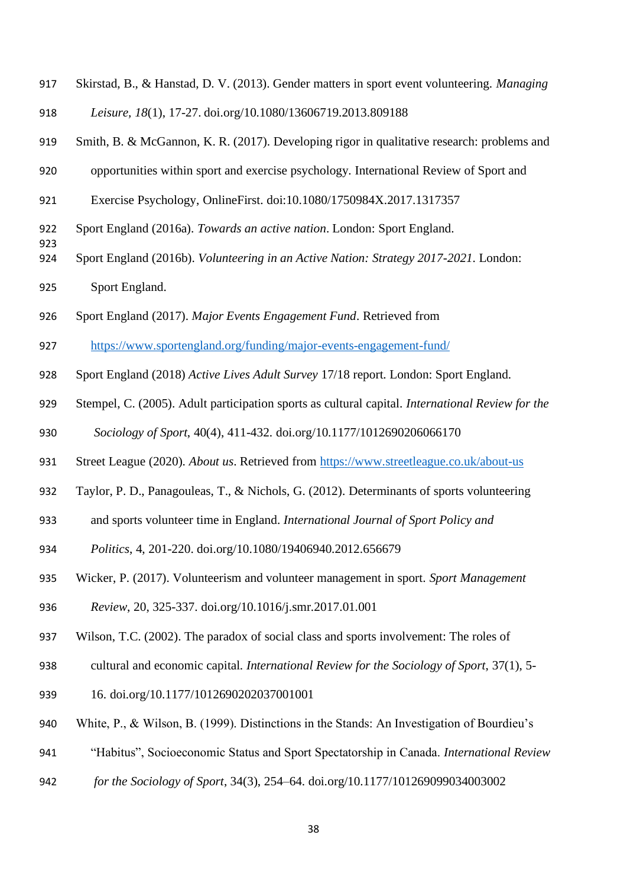- Skirstad, B., & Hanstad, D. V. (2013). Gender matters in sport event volunteering. *Managing Leisure, 18*(1), 17-27. doi.org/10.1080/13606719.2013.809188
- Smith, B. & McGannon, K. R. (2017). Developing rigor in qualitative research: problems and
- opportunities within sport and exercise psychology. International Review of Sport and
- Exercise Psychology, OnlineFirst. doi:10.1080/1750984X.2017.1317357
- Sport England (2016a). *Towards an active nation*. London: Sport England.
- Sport England (2016b). *Volunteering in an Active Nation: Strategy 2017-2021*. London:
- Sport England.

- Sport England (2017). *Major Events Engagement Fund*. Retrieved from
- <https://www.sportengland.org/funding/major-events-engagement-fund/>
- Sport England (2018) *Active Lives Adult Survey* 17/18 report. London: Sport England.
- Stempel, C. (2005). Adult participation sports as cultural capital. *International Review for the*
- *Sociology of Sport*, 40(4), 411-432. doi.org/10.1177/1012690206066170
- Street League (2020). *About us*. Retrieved from<https://www.streetleague.co.uk/about-us>
- Taylor, P. D., Panagouleas, T., & Nichols, G. (2012). Determinants of sports volunteering
- and sports volunteer time in England. *International Journal of Sport Policy and*
- *Politics*, 4, 201-220. doi.org/10.1080/19406940.2012.656679
- Wicker, P. (2017). Volunteerism and volunteer management in sport. *Sport Management*
- *Review*, 20, 325-337. doi.org/10.1016/j.smr.2017.01.001
- Wilson, T.C. (2002). The paradox of social class and sports involvement: The roles of
- cultural and economic capital. *International Review for the Sociology of Sport*, 37(1), 5-
- 16. doi.org/10.1177/1012690202037001001
- White, P., & Wilson, B. (1999). Distinctions in the Stands: An Investigation of Bourdieu's
- "Habitus", Socioeconomic Status and Sport Spectatorship in Canada. *International Review*
- *for the Sociology of Sport*, 34(3), 254–64. doi.org/10.1177/101269099034003002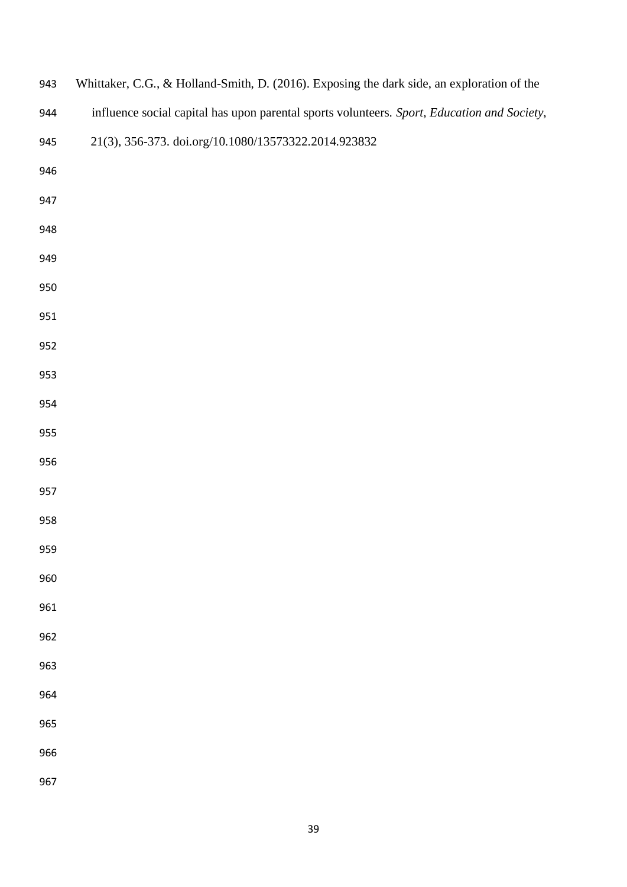| 943 | Whittaker, C.G., & Holland-Smith, D. (2016). Exposing the dark side, an exploration of the  |
|-----|---------------------------------------------------------------------------------------------|
| 944 | influence social capital has upon parental sports volunteers. Sport, Education and Society, |
| 945 | 21(3), 356-373. doi.org/10.1080/13573322.2014.923832                                        |
| 946 |                                                                                             |
| 947 |                                                                                             |
| 948 |                                                                                             |
| 949 |                                                                                             |
| 950 |                                                                                             |
| 951 |                                                                                             |
| 952 |                                                                                             |
| 953 |                                                                                             |
| 954 |                                                                                             |
| 955 |                                                                                             |
| 956 |                                                                                             |
| 957 |                                                                                             |
| 958 |                                                                                             |
| 959 |                                                                                             |
| 960 |                                                                                             |
| 961 |                                                                                             |
| 962 |                                                                                             |
| 963 |                                                                                             |
| 964 |                                                                                             |
| 965 |                                                                                             |
| 966 |                                                                                             |
| 967 |                                                                                             |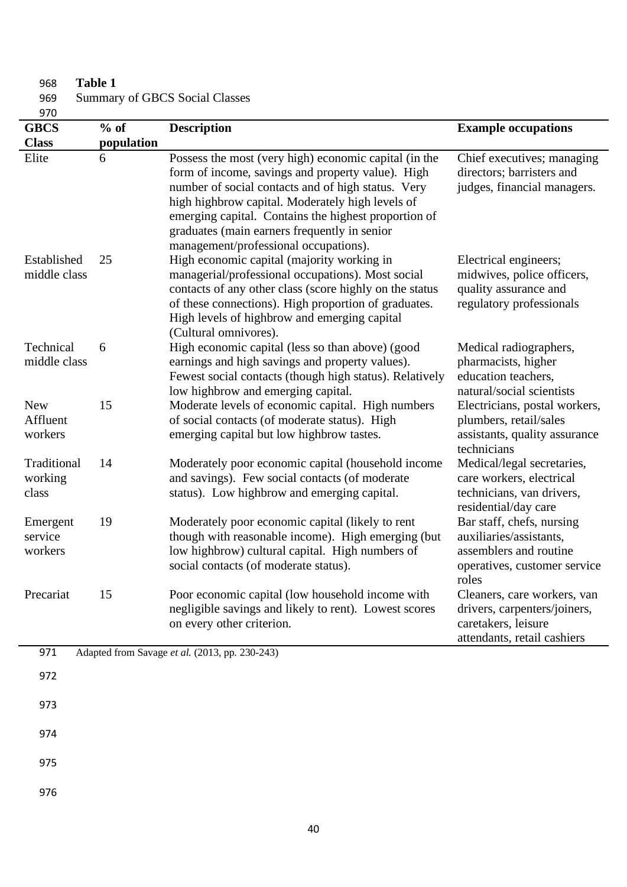| 970                               |            |                                                                                                                                                                                                                                                                                                                                                                       |                                                                                                                         |  |  |
|-----------------------------------|------------|-----------------------------------------------------------------------------------------------------------------------------------------------------------------------------------------------------------------------------------------------------------------------------------------------------------------------------------------------------------------------|-------------------------------------------------------------------------------------------------------------------------|--|--|
| <b>GBCS</b>                       | $%$ of     | <b>Description</b>                                                                                                                                                                                                                                                                                                                                                    | <b>Example occupations</b>                                                                                              |  |  |
| <b>Class</b>                      | population |                                                                                                                                                                                                                                                                                                                                                                       |                                                                                                                         |  |  |
| Elite                             | 6          | Possess the most (very high) economic capital (in the<br>form of income, savings and property value). High<br>number of social contacts and of high status. Very<br>high highbrow capital. Moderately high levels of<br>emerging capital. Contains the highest proportion of<br>graduates (main earners frequently in senior<br>management/professional occupations). | Chief executives; managing<br>directors; barristers and<br>judges, financial managers.                                  |  |  |
| Established<br>middle class       | 25         | High economic capital (majority working in<br>managerial/professional occupations). Most social<br>contacts of any other class (score highly on the status<br>of these connections). High proportion of graduates.<br>High levels of highbrow and emerging capital<br>(Cultural omnivores).                                                                           | Electrical engineers;<br>midwives, police officers,<br>quality assurance and<br>regulatory professionals                |  |  |
| Technical<br>middle class         | 6          | High economic capital (less so than above) (good<br>earnings and high savings and property values).<br>Fewest social contacts (though high status). Relatively<br>low highbrow and emerging capital.                                                                                                                                                                  | Medical radiographers,<br>pharmacists, higher<br>education teachers,<br>natural/social scientists                       |  |  |
| <b>New</b><br>Affluent<br>workers | 15         | Moderate levels of economic capital. High numbers<br>of social contacts (of moderate status). High<br>emerging capital but low highbrow tastes.                                                                                                                                                                                                                       | Electricians, postal workers,<br>plumbers, retail/sales<br>assistants, quality assurance<br>technicians                 |  |  |
| Traditional<br>working<br>class   | 14         | Moderately poor economic capital (household income<br>and savings). Few social contacts (of moderate<br>status). Low highbrow and emerging capital.                                                                                                                                                                                                                   | Medical/legal secretaries,<br>care workers, electrical<br>technicians, van drivers,<br>residential/day care             |  |  |
| Emergent<br>service<br>workers    | 19         | Moderately poor economic capital (likely to rent<br>though with reasonable income). High emerging (but<br>low highbrow) cultural capital. High numbers of<br>social contacts (of moderate status).                                                                                                                                                                    | Bar staff, chefs, nursing<br>auxiliaries/assistants,<br>assemblers and routine<br>operatives, customer service<br>roles |  |  |
| Precariat<br>971                  | 15         | Poor economic capital (low household income with<br>negligible savings and likely to rent). Lowest scores<br>on every other criterion.<br>Adapted from Savage et al. (2013, pp. 230-243)                                                                                                                                                                              | Cleaners, care workers, van<br>drivers, carpenters/joiners,<br>caretakers, leisure<br>attendants, retail cashiers       |  |  |

968 **Table 1** Summary of GBCS Social Classes

971 Adapted from Savage *et al.* (2013, pp. 230-243)

973

972

- 974
- 975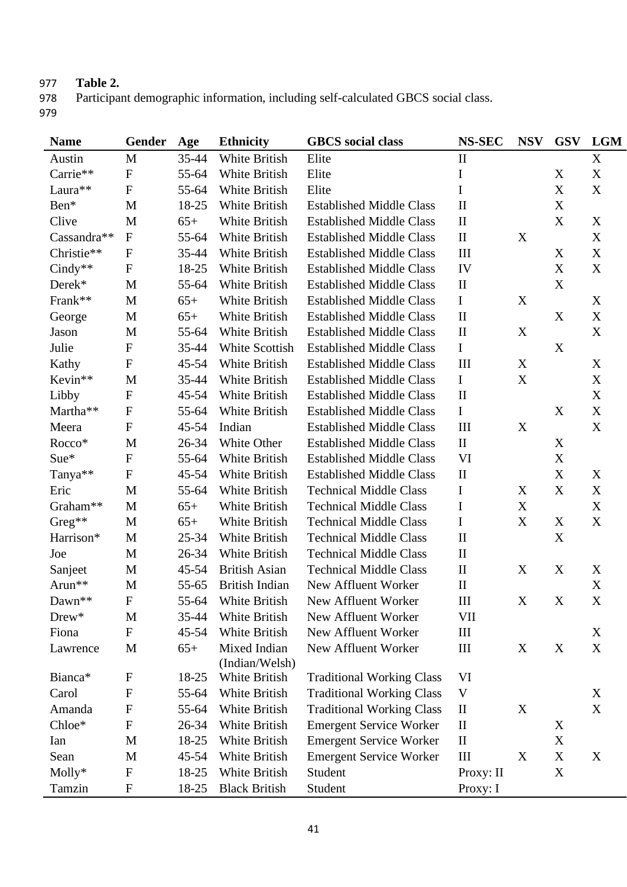## 977 **Table 2.**

978 Participant demographic information, including self-calculated GBCS social class. 979

**Name Gender Age Ethnicity GBCS social class NS-SEC NSV GSV LGM** Austin M 35-44 White British Elite II X Carrie<sup>\*\*</sup> F 55-64 White British Elite I X X Laura<sup>\*\*</sup> F 55-64 White British Elite I X X X Ben\* M 18-25 White British Established Middle Class II X Clive M 65+ White British Established Middle Class II X X Cassandra\*\* F 55-64 White British Established Middle Class II X X Christie\*\* F 35-44 White British Established Middle Class III X X Cindy\*\* F 18-25 White British Established Middle Class IV X X Derek\* M 55-64 White British Established Middle Class II X Frank\*\* M 65+ White British Established Middle Class I X X George M 65+ White British Established Middle Class II X X Jason M 55-64 White British Established Middle Class II X X Julie F 35-44 White Scottish Established Middle Class I X Kathy F 45-54 White British Established Middle Class III X X Kevin<sup>\*\*</sup> M 35-44 White British Established Middle Class I X X Libby F 45-54 White British Established Middle Class II X Martha<sup>\*\*</sup> F 55-64 White British Established Middle Class I X X Meera F 45-54 Indian Established Middle Class III X X Rocco\* M 26-34 White Other Established Middle Class II X Sue\* F 55-64 White British Established Middle Class VI X Tanya<sup>\*\*</sup> F 45-54 White British Established Middle Class II X X Eric M 55-64 White British Technical Middle Class I X X X Graham<sup>\*\*</sup> M 65<sup>+</sup> White British Technical Middle Class I X X Greg<sup>\*\*</sup> M 65+ White British Technical Middle Class I X X X Harrison\* M 25-34 White British Technical Middle Class II X Joe M 26-34 White British Technical Middle Class II Sanjeet M 45-54 British Asian Technical Middle Class II X X X Arun\*\* M 55-65 British Indian New Affluent Worker II X Dawn\*\* F 55-64 White British New Affluent Worker III X X X Drew\* M 35-44 White British New Affluent Worker VII Fiona F 45-54 White British New Affluent Worker III X Lawrence M 65+ Mixed Indian (Indian/Welsh) New Affluent Worker III X X X Bianca\* F 18-25 White British Traditional Working Class VI Carol F 55-64 White British Traditional Working Class V X Amanda F 55-64 White British Traditional Working Class II X X Chloe\* F 26-34 White British Emergent Service Worker II X Ian M 18-25 White British Emergent Service Worker II X Sean M 45-54 White British Emergent Service Worker III X X X Molly\* F 18-25 White British Student Proxy: II X Tamzin F 18-25 Black British Student Proxy: I